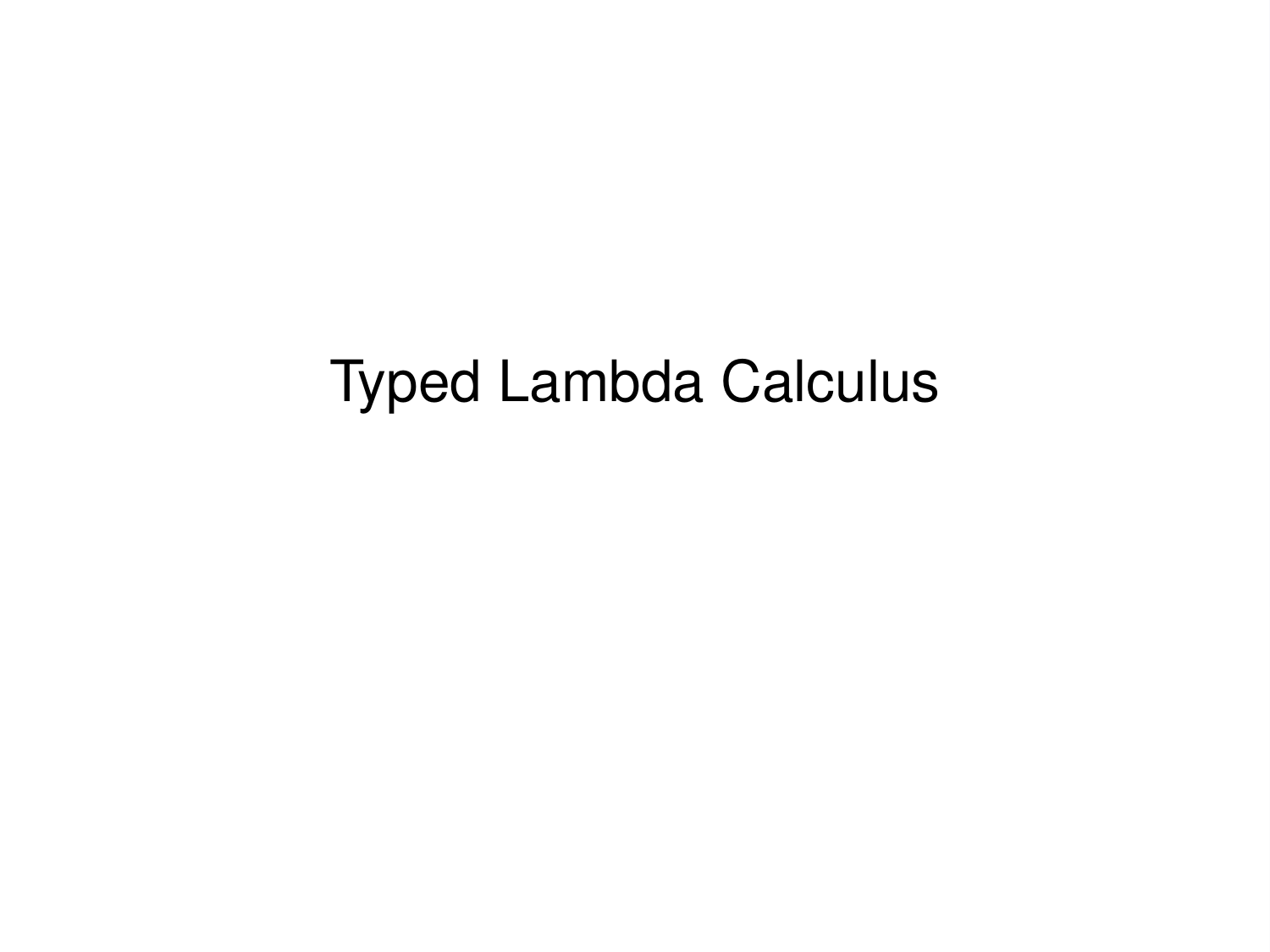# Typed Lambda Calculus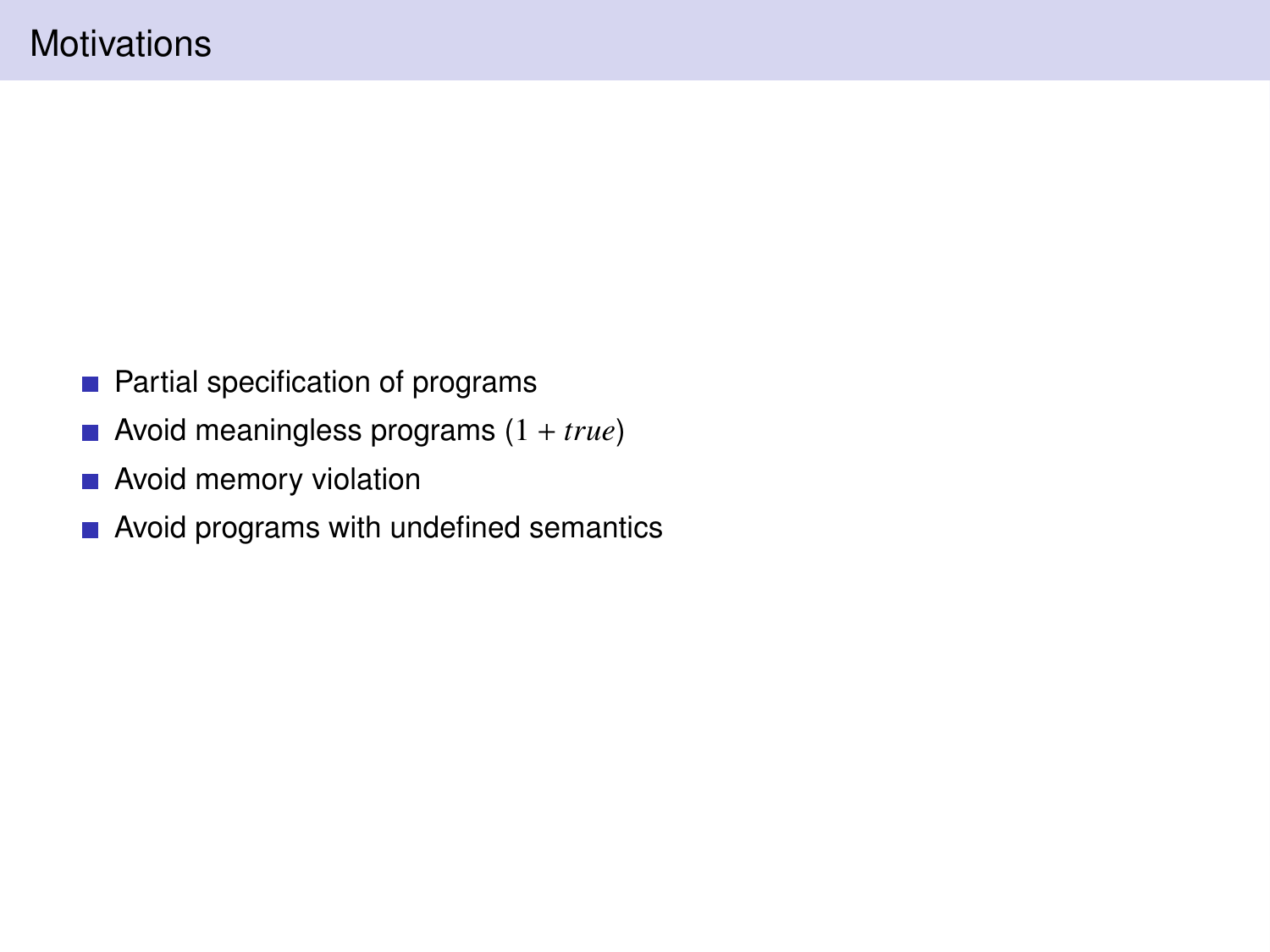- **Partial specification of programs**
- Avoid meaningless programs (1 + *true*)
- **Avoid memory violation**
- Avoid programs with undefined semantics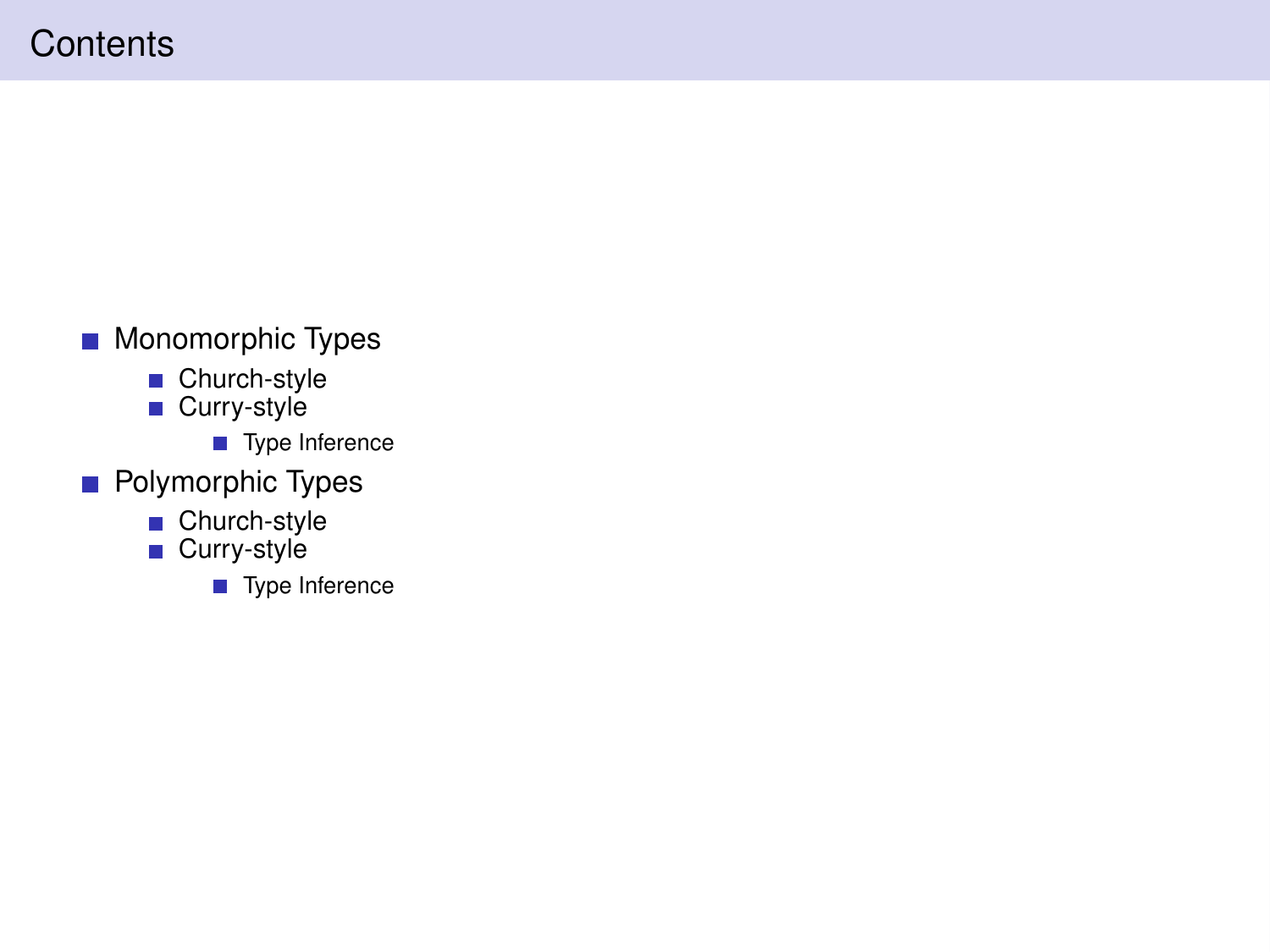# **Contents**

- **Monomorphic Types** 
	- Church-style Curry-style
	- - Type Inference
- **Polymorphic Types** 
	- Church-style
	- Curry-style
		- Type Inference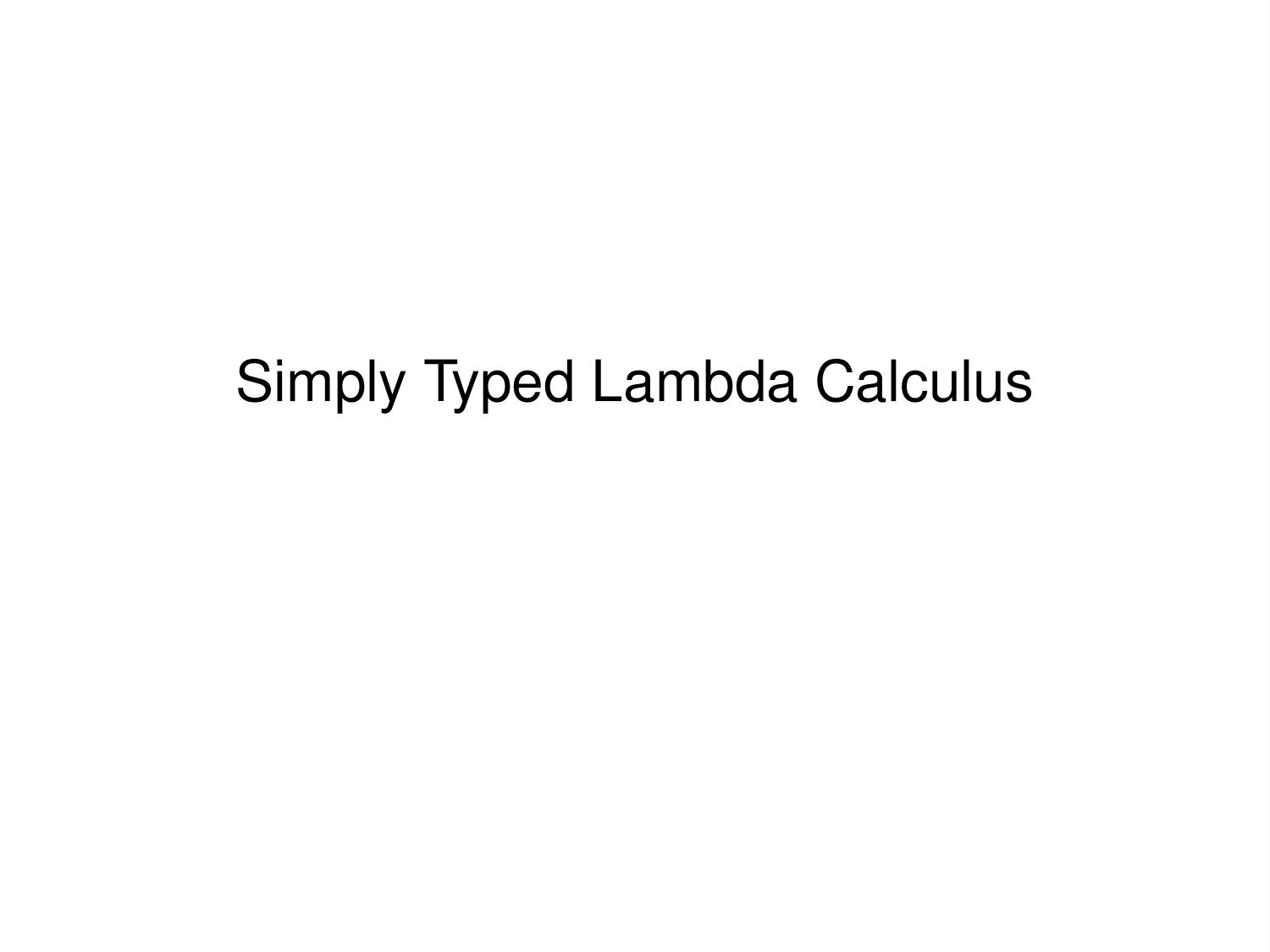# Simply Typed Lambda Calculus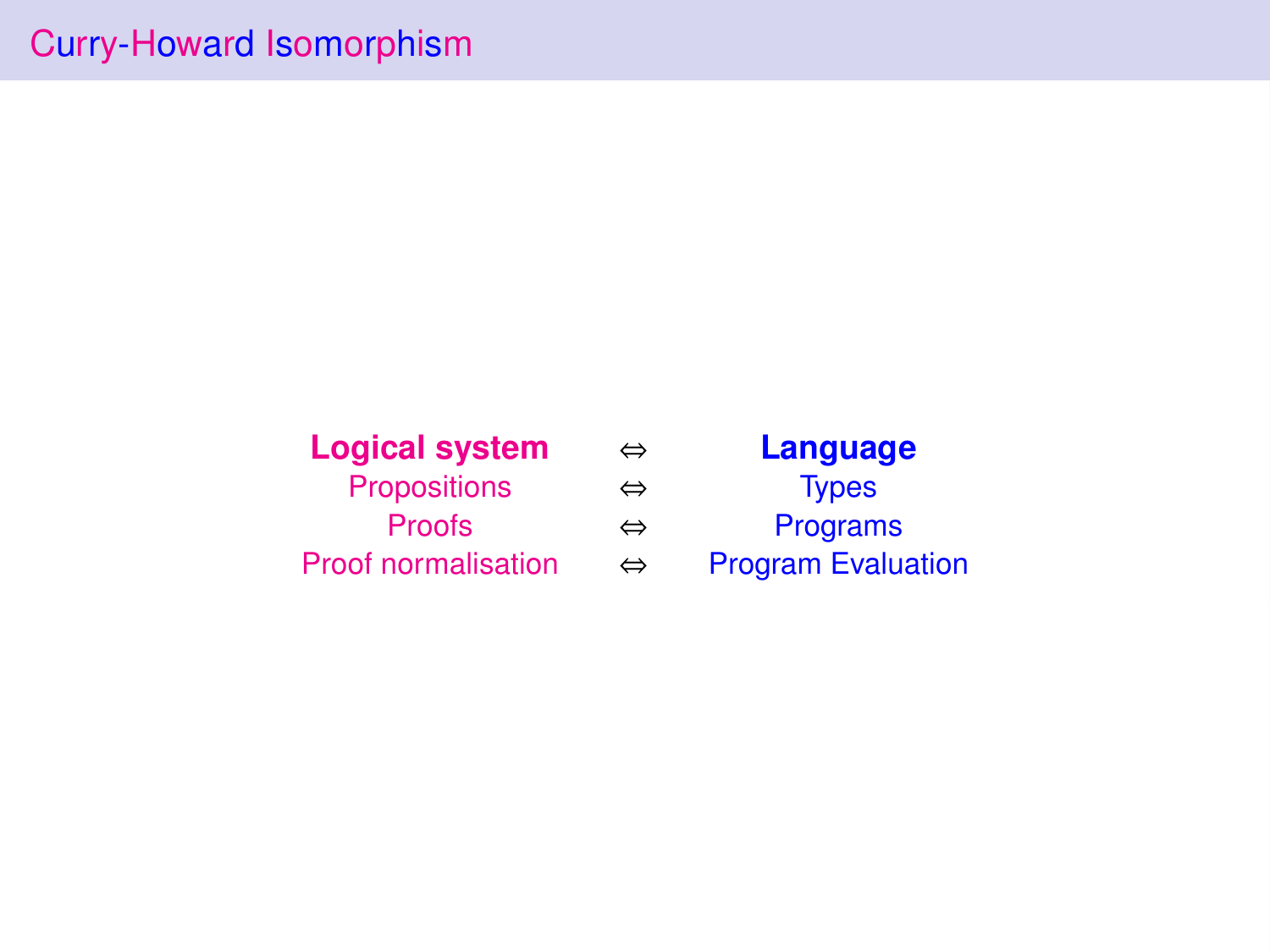| <b>Logical system</b>      |  |  |
|----------------------------|--|--|
| <b>Propositions</b>        |  |  |
| Proofs                     |  |  |
| <b>Proof normalisation</b> |  |  |

**Logical system** ⇔ **Language** ⇔ Types ⇔ Programs ⇔ Program Evaluation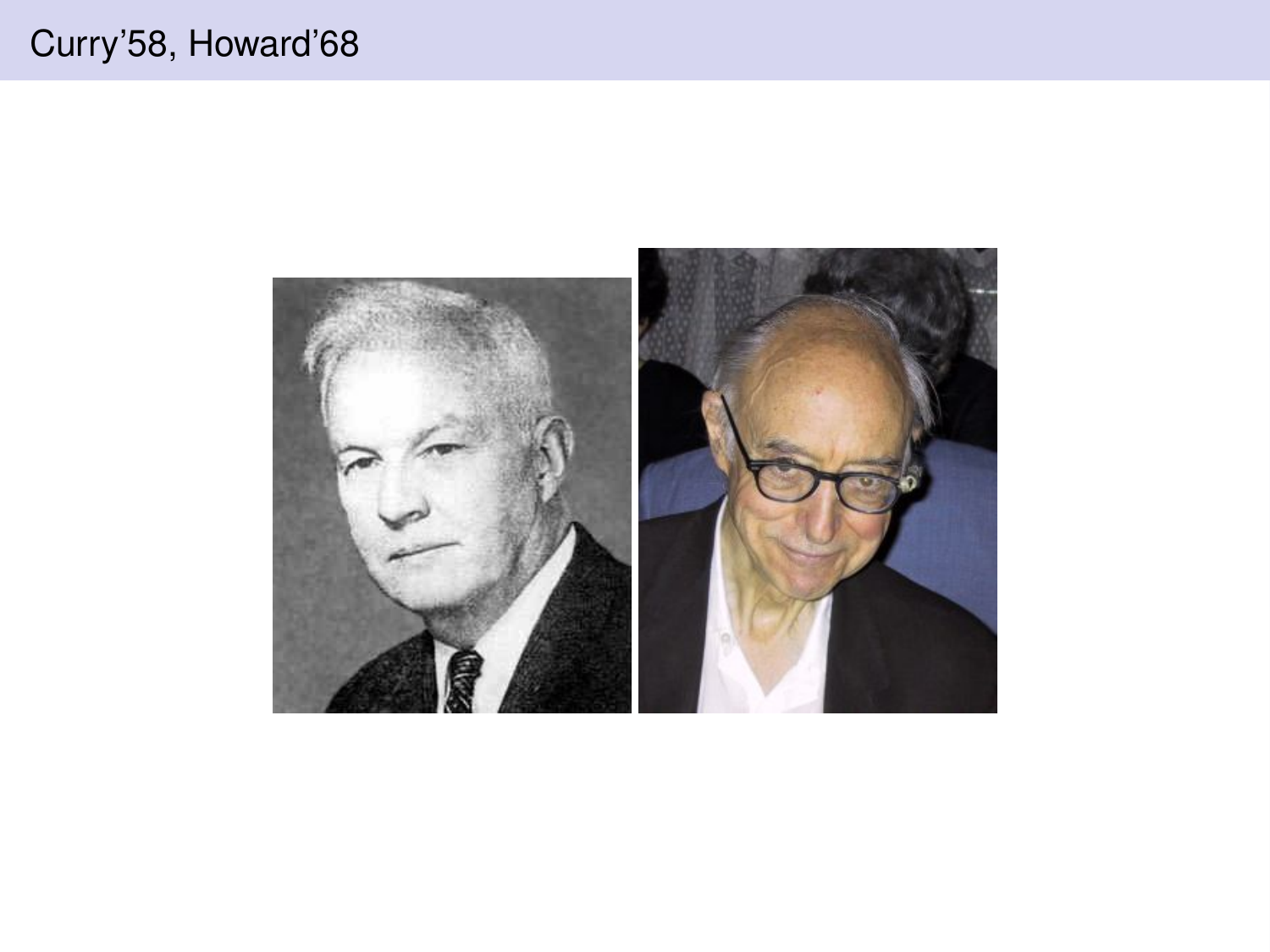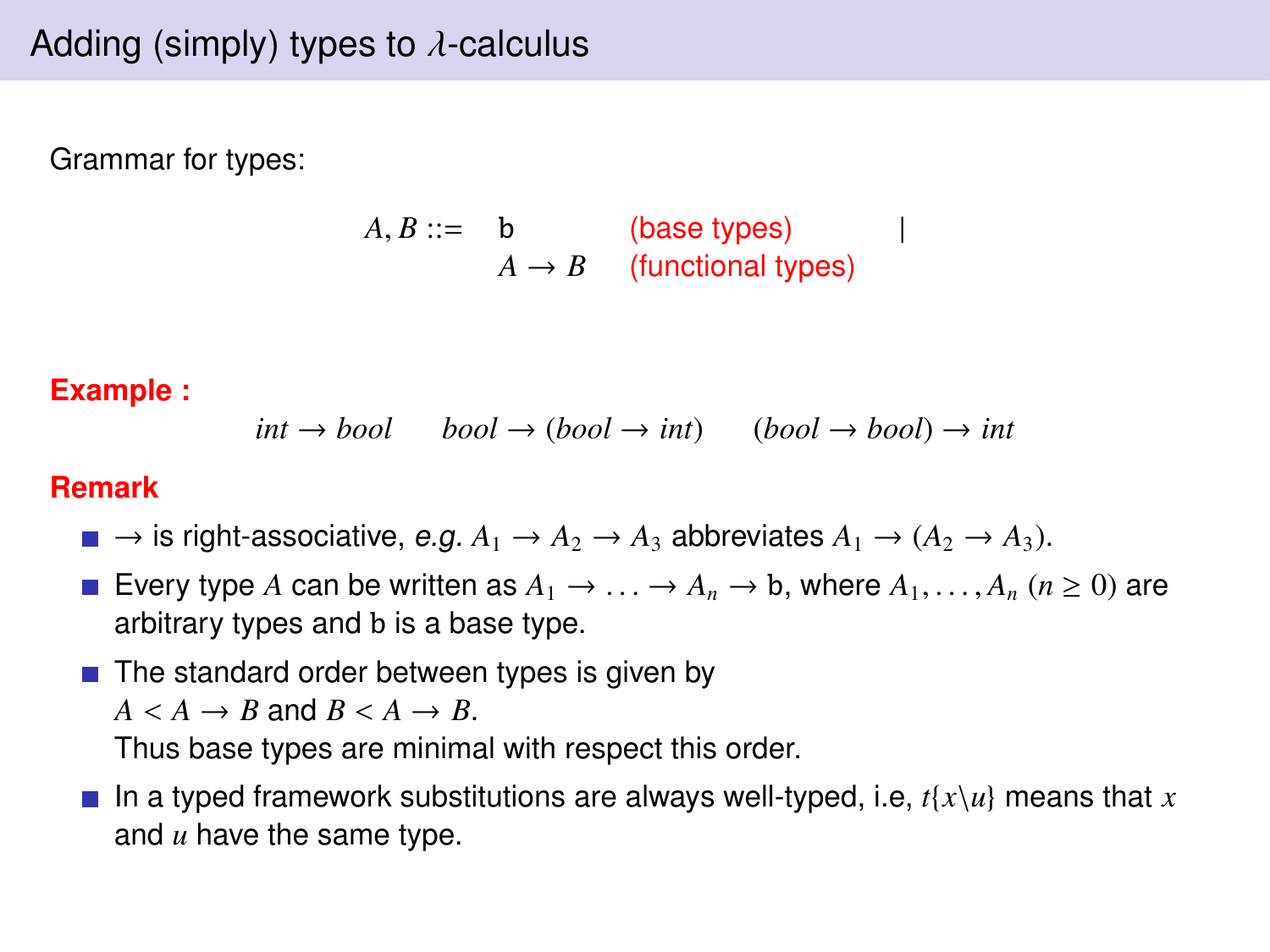Grammar for types:

 $A, B ::= b$  (base types) |  $A \rightarrow B$  (functional types)

**Example :**

$$
int \rightarrow bool
$$
  $bool \rightarrow (bool \rightarrow int)$   $(bool \rightarrow bool) \rightarrow int$ 

#### **Remark**

- $\blacksquare \rightarrow$  is right-associative, e.g.  $A_1 \rightarrow A_2 \rightarrow A_3$  abbreviates  $A_1 \rightarrow (A_2 \rightarrow A_3)$ .
- Every type A can be written as  $A_1 \rightarrow \ldots \rightarrow A_n \rightarrow b$ , where  $A_1, \ldots, A_n$  ( $n \ge 0$ ) are arbitrary types and b is a base type.
- $\blacksquare$  The standard order between types is given by  $A \leq A \rightarrow B$  and  $B \leq A \rightarrow B$ .

Thus base types are minimal with respect this order.

In a typed framework substitutions are always well-typed, i.e,  $t\{x\}u\}$  means that x and *u* have the same type.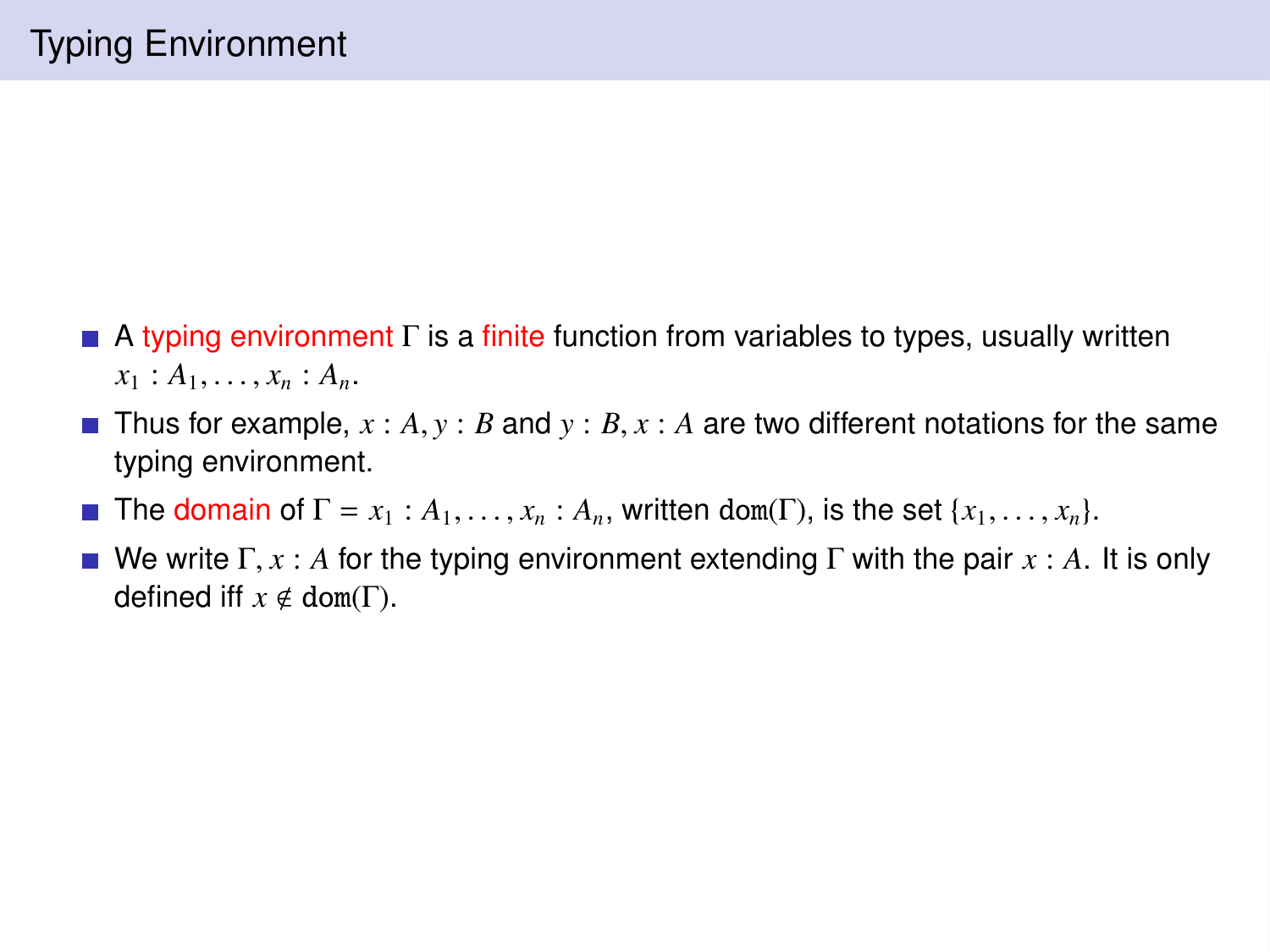- $\blacksquare$  A typing environment  $\Gamma$  is a finite function from variables to types, usually written  $x_1 : A_1, \ldots, x_n : A_n$ .
- Thus for example,  $x : A, y : B$  and  $y : B, x : A$  are two different notations for the same typing environment.
- The domain of  $\Gamma = x_1 : A_1, \ldots, x_n : A_n$ , written dom( $\Gamma$ ), is the set  $\{x_1, \ldots, x_n\}$ .
- We write  $\Gamma, x : A$  for the typing environment extending  $\Gamma$  with the pair  $x : A$ . It is only defined iff  $x \notin dom(\Gamma)$ .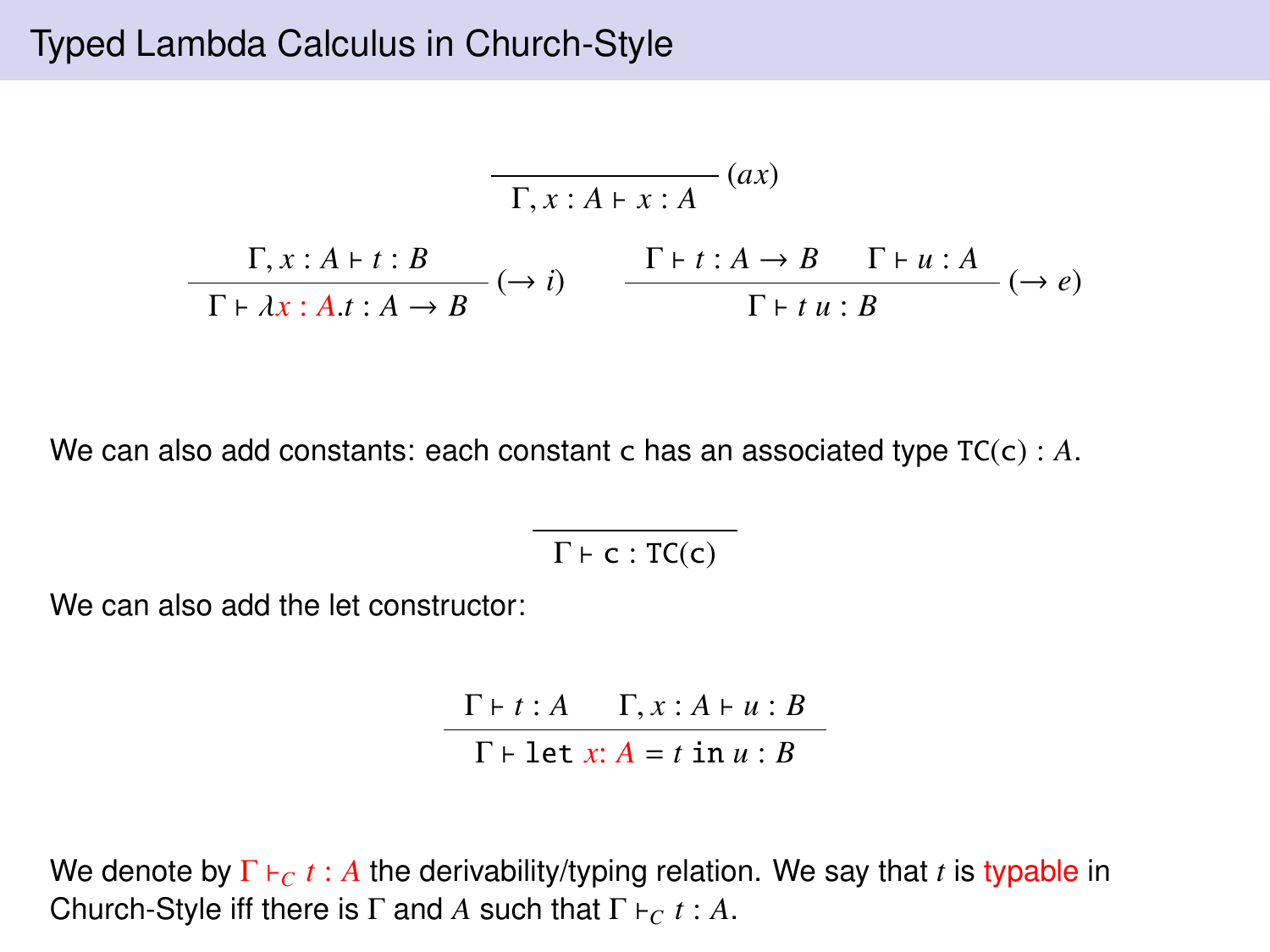## Typed Lambda Calculus in Church-Style

$$
\frac{\Gamma, x:A \vdash x:A}{\Gamma, x:A \vdash t:B} (ax)
$$
\n
$$
\frac{\Gamma, x:A \vdash t:B}{\Gamma \vdash \lambda x:A.t:A \rightarrow B} (\rightarrow i) \qquad \frac{\Gamma \vdash t:A \rightarrow B \quad \Gamma \vdash u:A}{\Gamma \vdash t u:B} (\rightarrow e)
$$

We can also add constants: each constant c has an associated type TC(c) : *A*.

 $\Gamma \vdash c : TC(c)$ 

We can also add the let constructor:

 $Γ \vdash t : A \qquad Γ, x : A \vdash u : B$  $\Gamma \vdash \text{let } x: A = t \text{ in } u: B$ 

We denote by  $\Gamma \vdash_{C} t : A$  the derivability/typing relation. We say that *t* is typable in Church-Style iff there is  $\Gamma$  and *A* such that  $\Gamma \vdash_C t : A$ .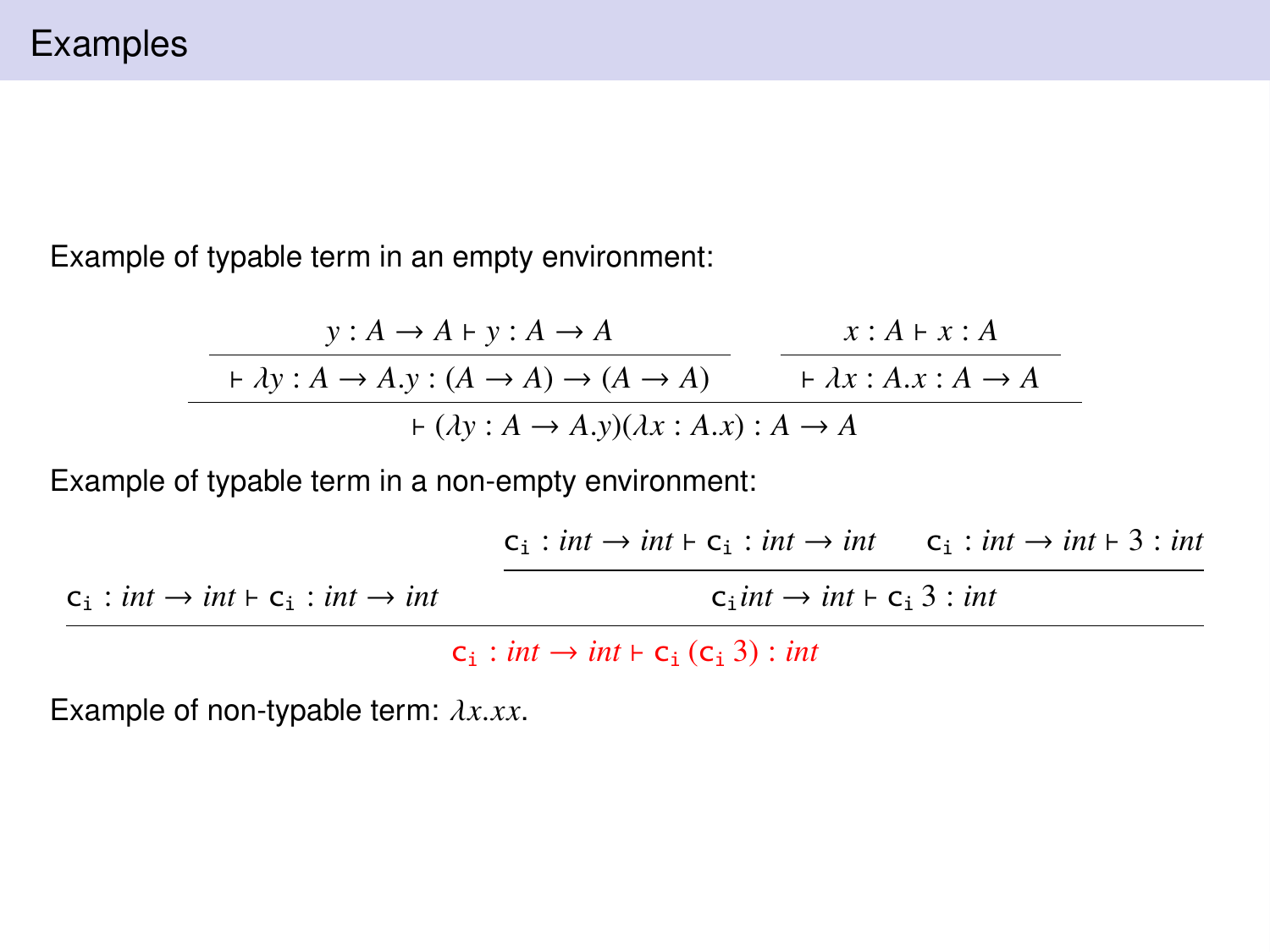Example of typable term in an empty environment:

$$
\begin{array}{c|c}\n & y:A \rightarrow A + y:A \rightarrow A & x:A + x:A \\
\hline\n+ \lambda y:A \rightarrow A.y:(A \rightarrow A) \rightarrow (A \rightarrow A) & + \lambda x:A.x:A \rightarrow A \\
\hline\n+ (\lambda y:A \rightarrow A.y)(\lambda x:A.x): A \rightarrow A\n\end{array}
$$

Example of typable term in a non-empty environment:

|                                                              | $c_i$ : int $\rightarrow$ int $\vdash$ $c_i$ : int $\rightarrow$ int $c_i$ : int $\rightarrow$ int $\vdash$ 3 : int |  |
|--------------------------------------------------------------|---------------------------------------------------------------------------------------------------------------------|--|
| $c_i: int \rightarrow int \vdash c_i: int \rightarrow int$   | $c$ int $\rightarrow$ int $\vdash$ $c$ 3 : int                                                                      |  |
| $c_i$ : int $\rightarrow$ int $\vdash$ $c_i$ ( $c_i$ 3): int |                                                                                                                     |  |

Example of non-typable term: λ*x*.*xx*.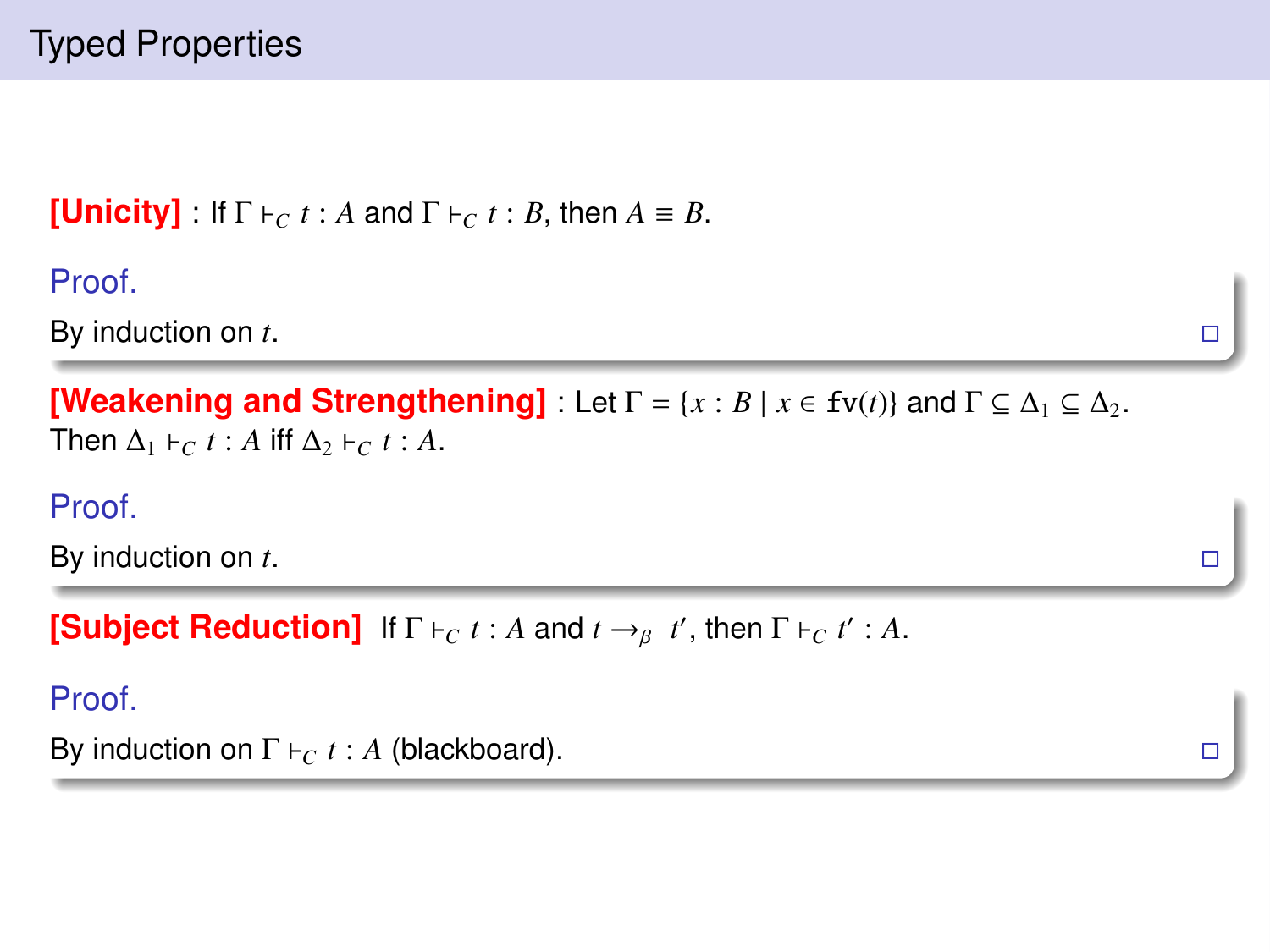# Typed Properties

```
[Unicity] : If \Gamma \vdash_C t : A and \Gamma \vdash_C t : B, then A \equiv B.
```
Proof.

By induction on *t*.

```
[Weakening and Strengthening] : Let \Gamma = \{x : B \mid x \in \text{fv}(t)\}\ and \Gamma \subseteq \Delta_1 \subseteq \Delta_2.
Then \Delta_1 \vdash_C t : A iff \Delta_2 \vdash_C t : A.
```
Proof.

By induction on *t*.

**[Subject Reduction]** If  $\Gamma \vdash_C t : A$  and  $t \rightarrow_B t'$ , then  $\Gamma \vdash_C t' : A$ .

Proof.

```
By induction on \Gamma \vdash_C t : A (blackboard).
```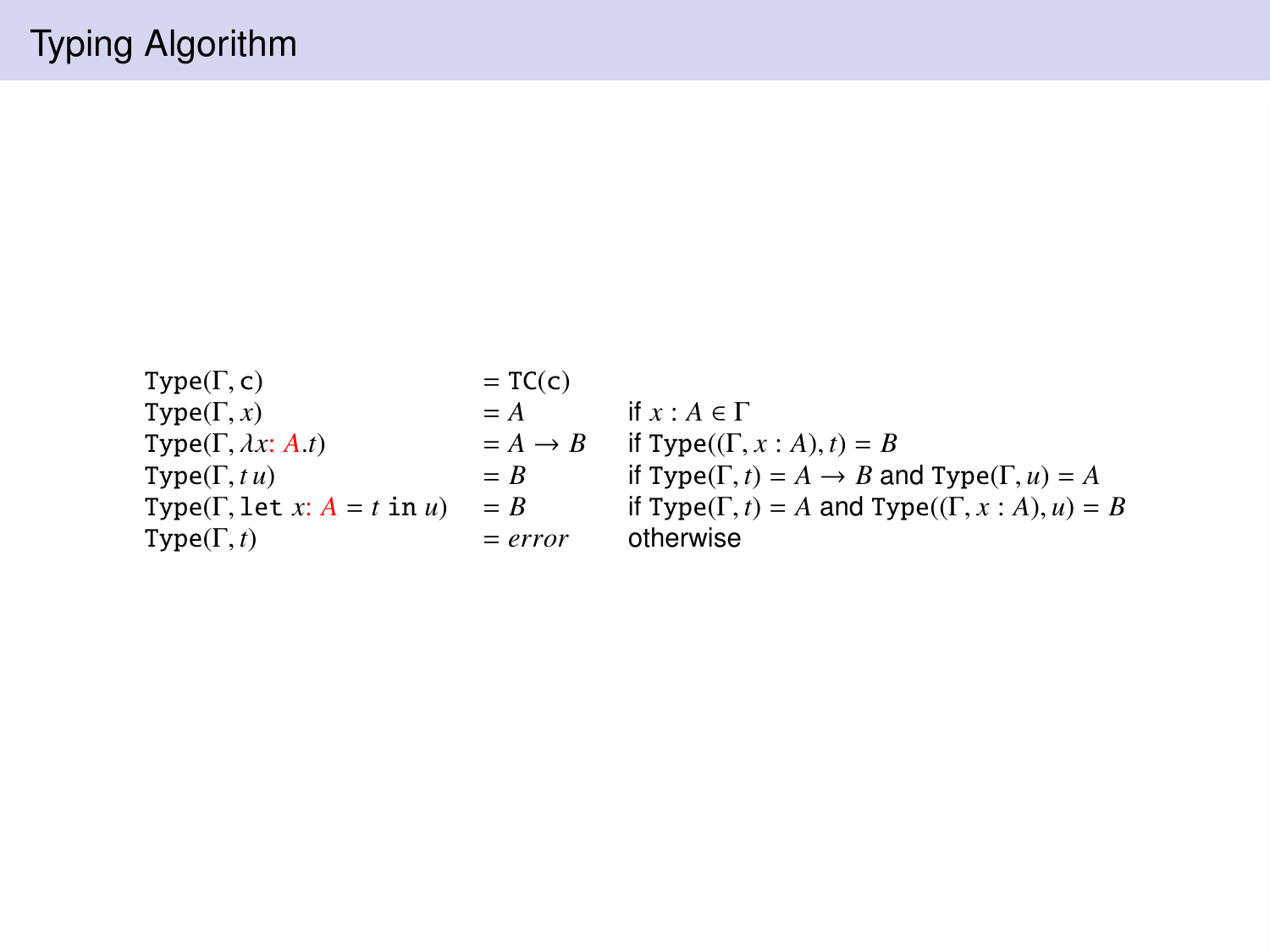- Type(Γ, c) = TC(c)<br>Type(Γ, x) = A if  $x : A \in \Gamma$ Type(Γ, *x*) = *A* if *x* :  $A \in \Gamma$ <br>Type(Γ, *λ x* · *A t*) =  $A \rightarrow B$  if Type((Γ) Type(Γ,  $\lambda x: A.t$ ) =  $A \rightarrow B$  if Type((Γ,  $x: A$ ),  $t$ ) =  $B$ <br>Type(Γ  $t u$ ) =  $B$  if Type(Γ  $t$ ) =  $A \rightarrow B$  a  $Type(\Gamma, t)$  =  $error$  otherwise
- Type(Γ, *tu*) = *B* if Type(Γ, *t*) = *A* → *B* and Type(Γ, *u*) = *A*<br>Type(Γ let *x*; *A* = *t* in *u*) = *B* if Type(Γ *t*) = *A* and Type((Γ *x*; *A*) *u*) = Type(Γ, let *x*: *A* = *t* in *u*) = *B* if Type(Γ, *t*) = *A* and Type((Γ, *x* : *A*), *u*) = *B*<br>Type(Γ *t*) = *error* otherwise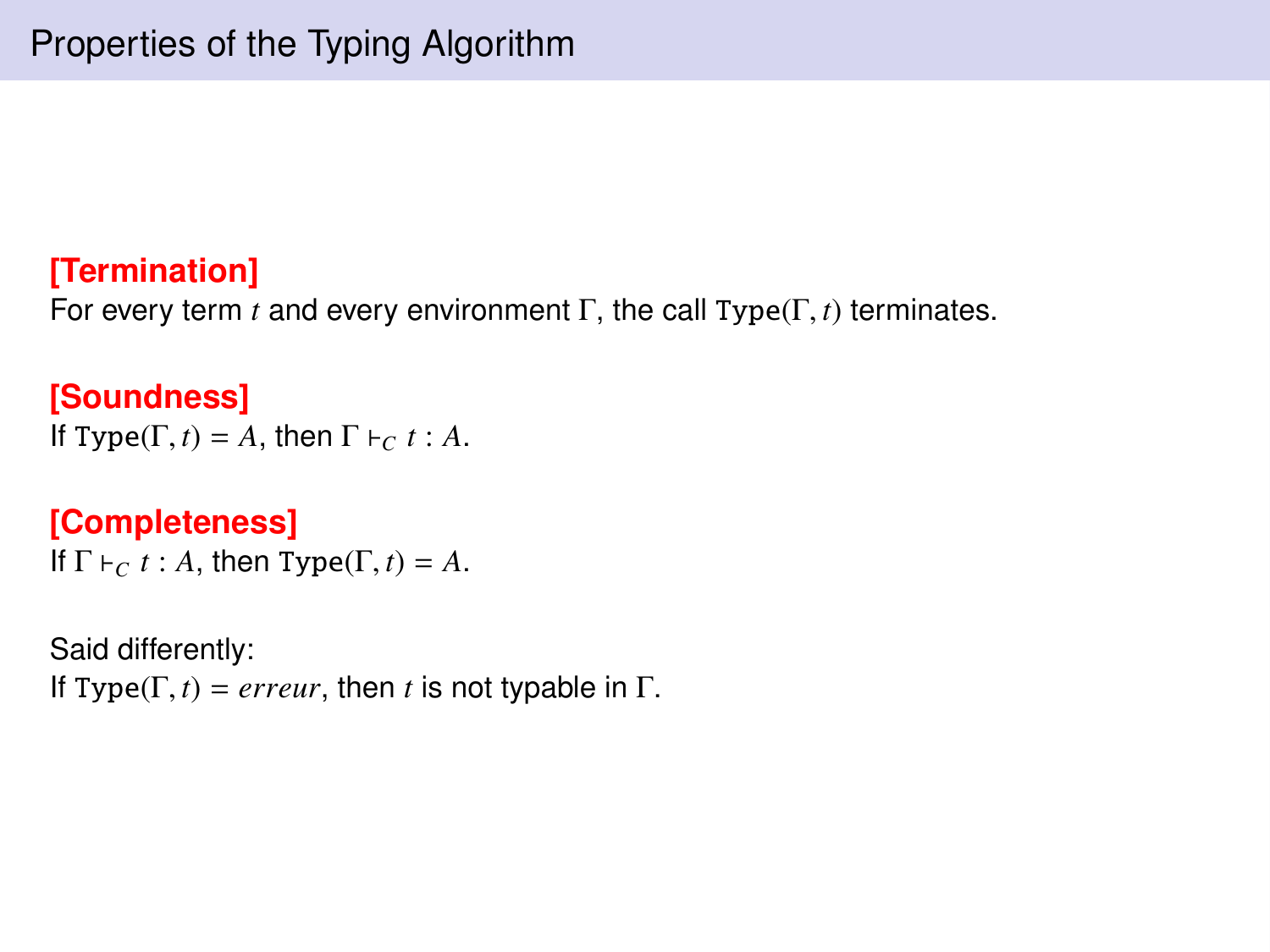# **[Termination]**

For every term *<sup>t</sup>* and every environment <sup>Γ</sup>, the call Type(Γ, *<sup>t</sup>*) terminates.

#### **[Soundness]** If Type( $\Gamma$ , *t*) = *A*, then  $\Gamma$   $\vdash_C t : A$ .

### **[Completeness]**

If  $\Gamma \vdash_C t : A$ , then Type( $\Gamma, t$ ) = A.

Said differently: If Type( $\Gamma$ , *t*) = *erreur*, then *t* is not typable in  $\Gamma$ .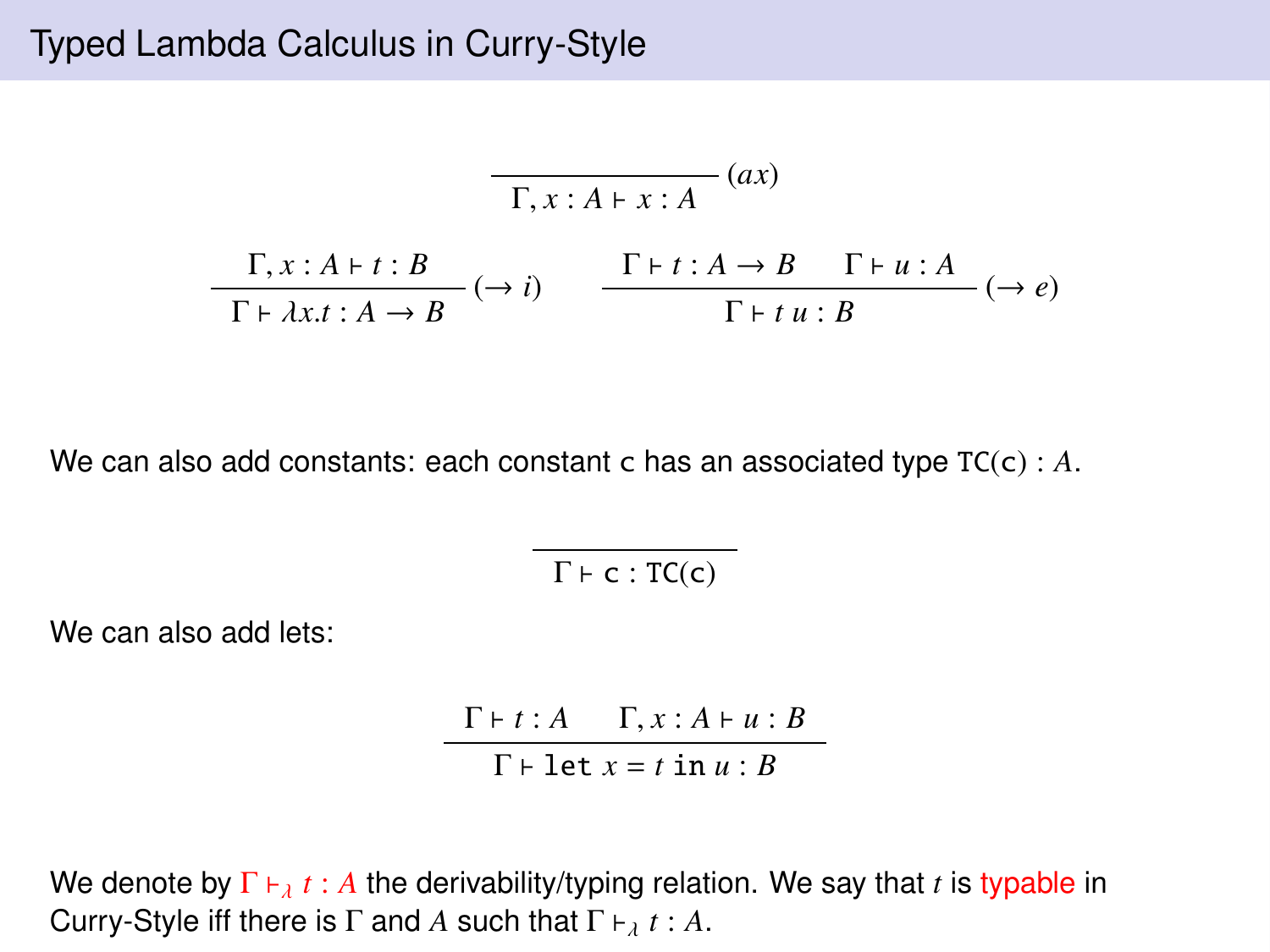## Typed Lambda Calculus in Curry-Style

$$
\frac{\Gamma, x:A \vdash x:A}{\Gamma, x:A \vdash t:B} (ax)
$$
\n
$$
\frac{\Gamma, x:A \vdash t:B}{\Gamma \vdash \lambda x.t:A \to B} (\to i) \qquad \frac{\Gamma \vdash t:A \to B \quad \Gamma \vdash u:A}{\Gamma \vdash t u:B} (\to e)
$$

We can also add constants: each constant c has an associated type  $TC(c)$ : *A*.

 $\Gamma \vdash c : TC(c)$ 

We can also add lets:

 $\Gamma \vdash t : A \quad \Gamma, x : A \vdash u : B$  $\Gamma \vdash \text{let } x = t \text{ in } u : B$ 

We denote by  $\Gamma \vdash_{\lambda} t : A$  the derivability/typing relation. We say that *t* is typable in Curry-Style iff there is  $\Gamma$  and *A* such that  $\Gamma \vdash_{\lambda} t : A$ .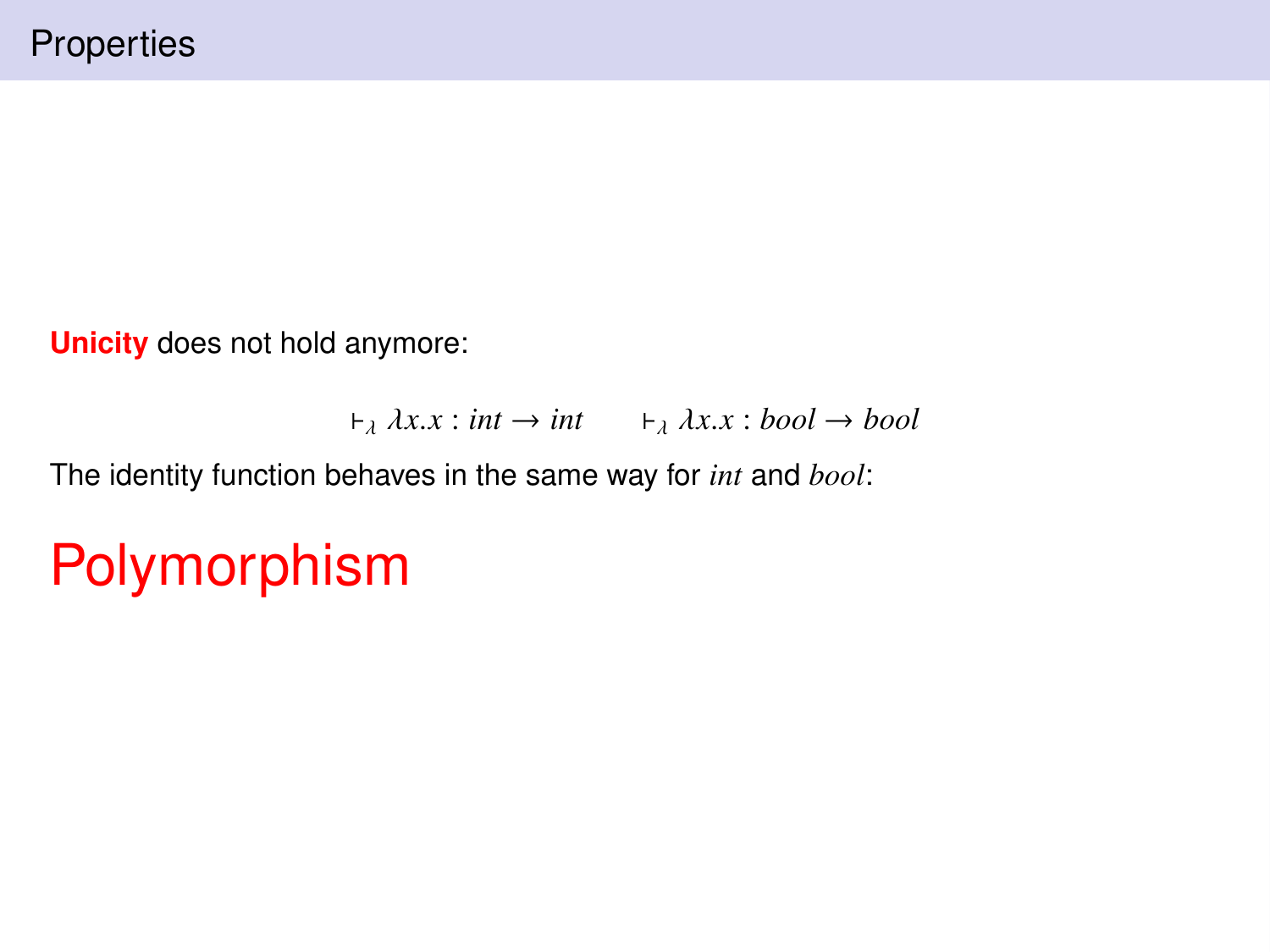**Unicity** does not hold anymore:

```
\vdash_{\lambda} \lambda x.x : \text{int} \rightarrow \text{int} \quad \vdash_{\lambda} \lambda x.x : \text{bool} \rightarrow \text{bool}
```
The identity function behaves in the same way for *int* and *bool*:

# Polymorphism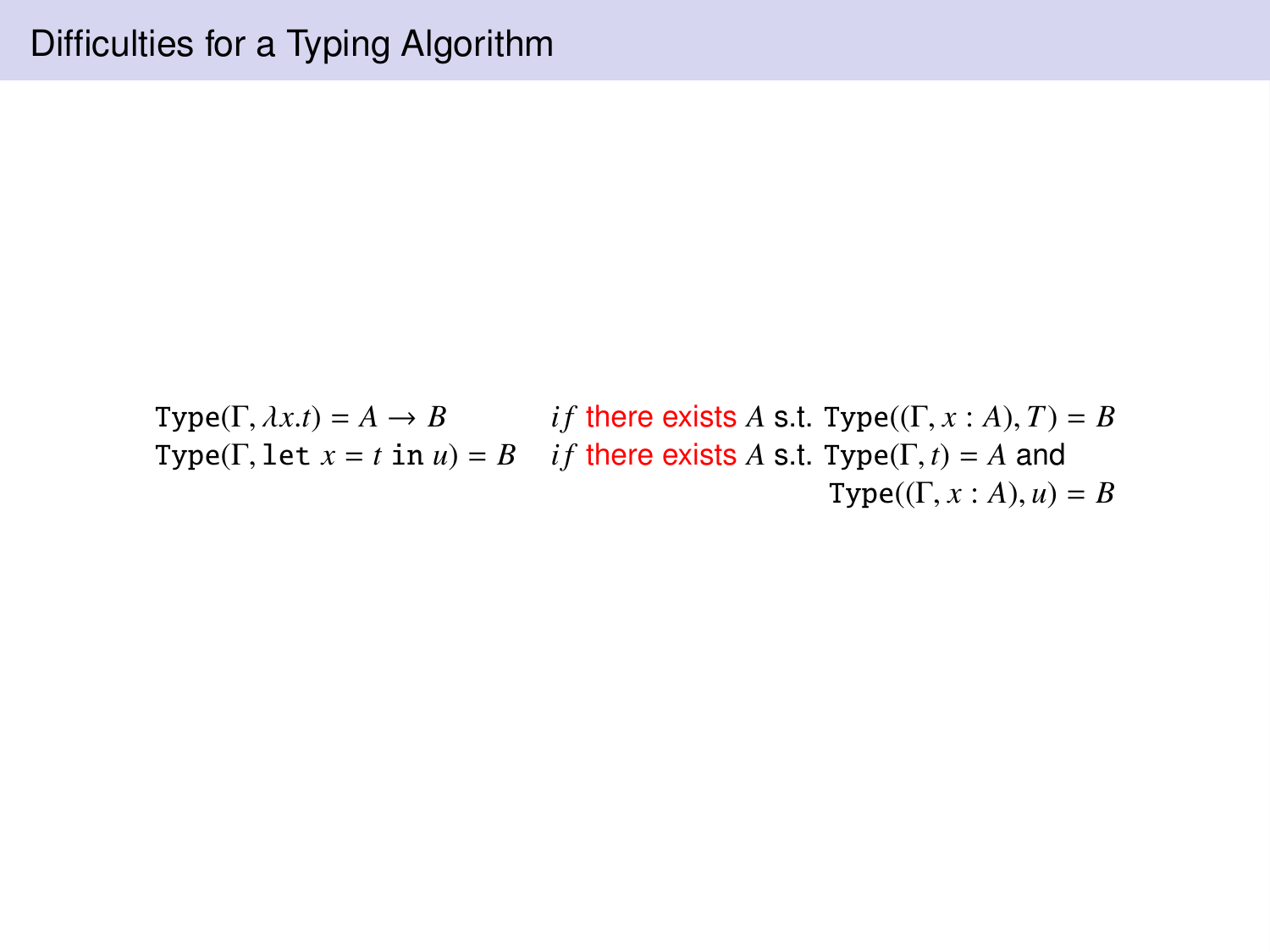Type( $\Gamma$ ,  $\lambda x.t$ ) =  $A \rightarrow B$  *if* there exists *A* s.t. Type( $(\Gamma, x : A)$ , *T*) = *B* Type( $\Gamma$ , let  $x = t$  in  $u$ ) =  $B$  *if* there exists  $A$  s.t. Type( $\Gamma$ ,  $t$ ) =  $A$  and  $Type((\Gamma, x : A), u) = B$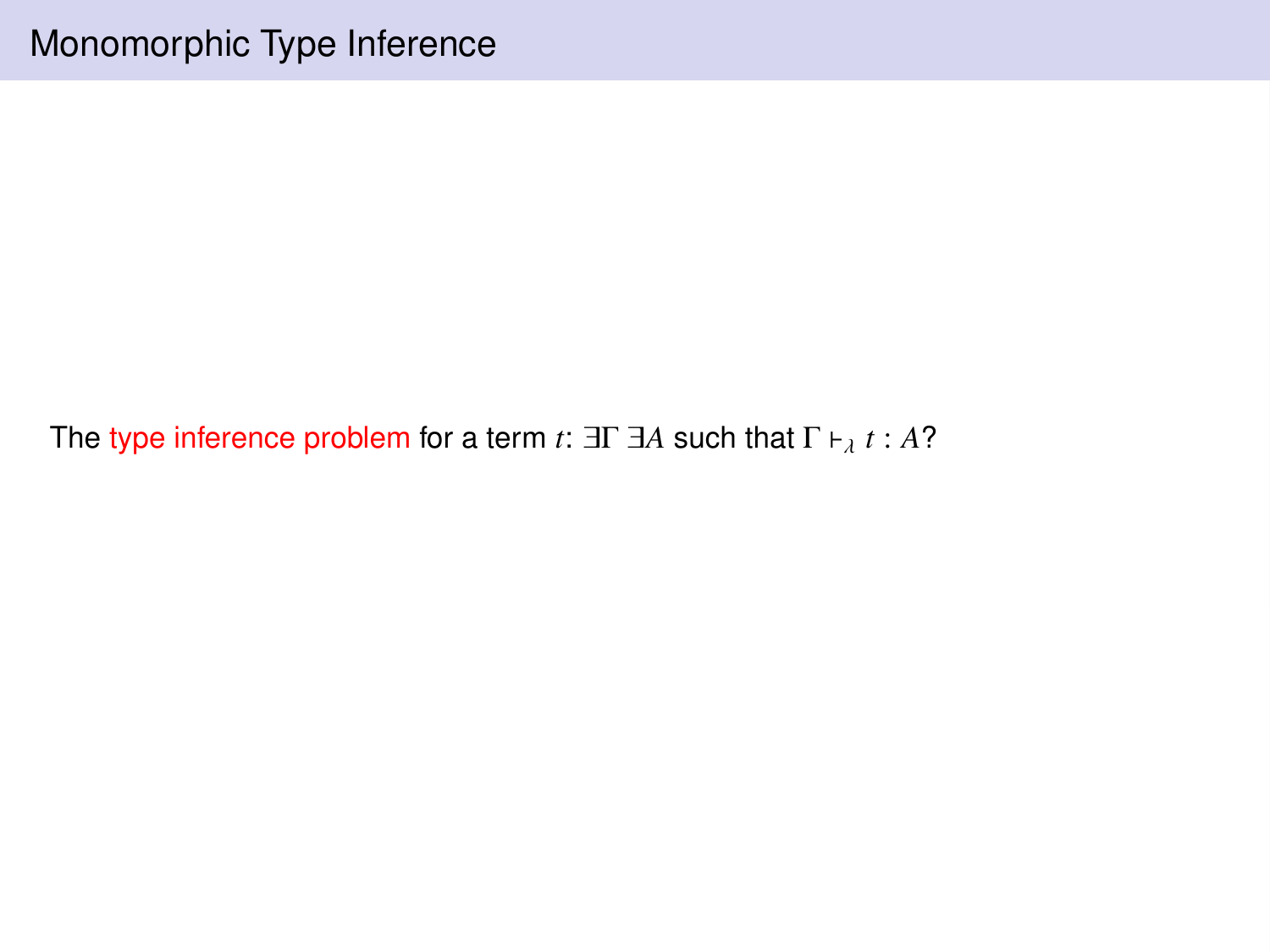The type inference problem for a term  $t$ :  $\exists \Gamma \exists A$  such that  $\Gamma \vdash_{\lambda} t : A$ ?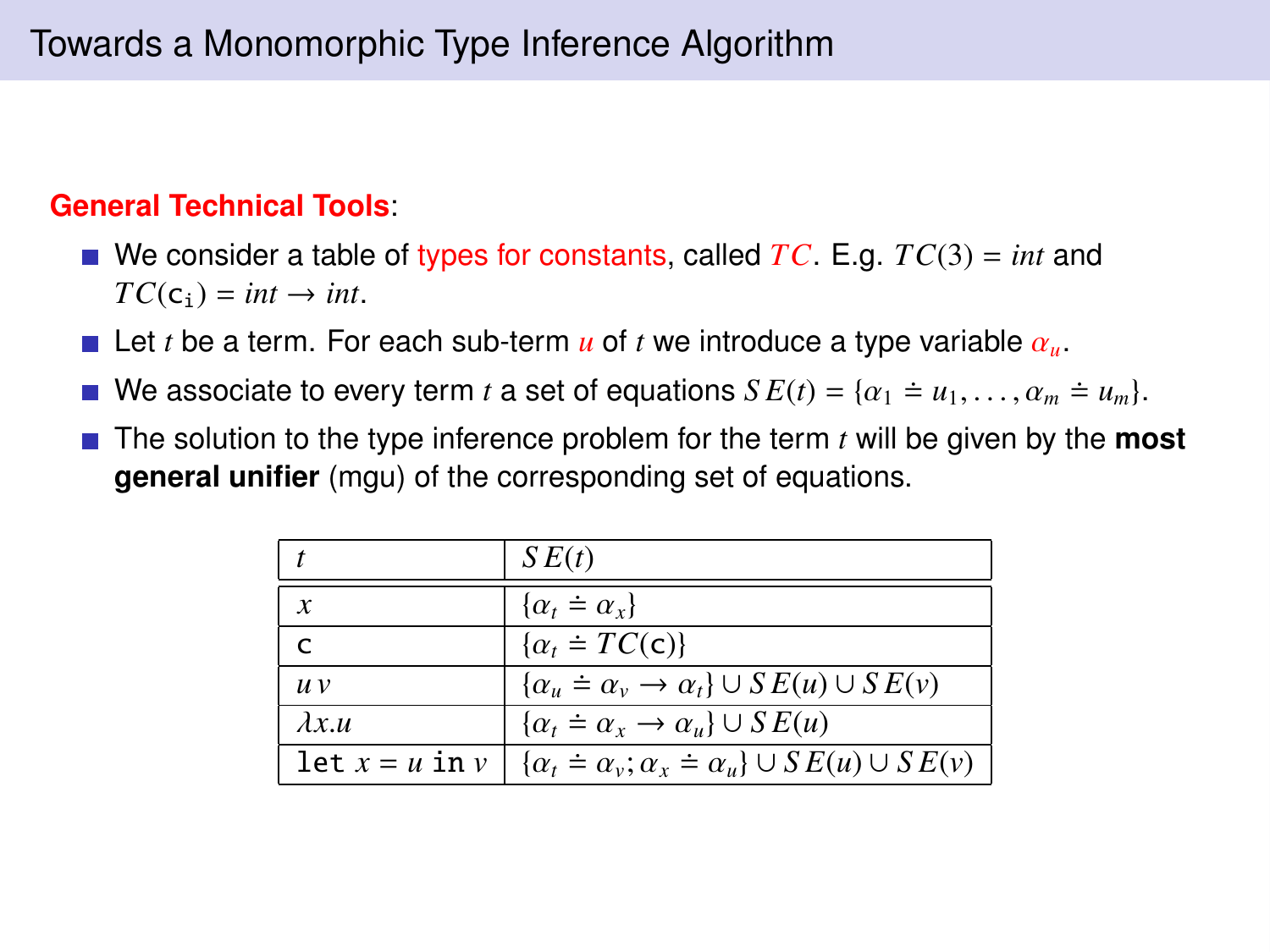#### **General Technical Tools**:

- We consider a table of types for constants, called *TC*. E.g. *TC*(3) = *int* and  $TC(c_i) = int \rightarrow int$ .
- Let *t* be a term. For each sub-term  $\boldsymbol{u}$  of *t* we introduce a type variable  $\alpha_{\boldsymbol{u}}$ .
- We associate to every term *t* a set of equations  $SE(t) = \{ \alpha_1 = u_1, \dots, \alpha_m = u_m \}.$
- The solution to the type inference problem for the term *t* will be given by the **most general unifier** (mgu) of the corresponding set of equations.

|                    | SE(t)                                                                |
|--------------------|----------------------------------------------------------------------|
| $\boldsymbol{x}$   | $\{\alpha_t = \alpha_x\}$                                            |
| r                  | $\{\alpha_t \doteq TC(c)\}\$                                         |
| $\mu$ $\nu$        | $\{\alpha_u = \alpha_v \rightarrow \alpha_t\} \cup SE(u) \cup SE(v)$ |
| $\lambda x u$      | $\{\alpha_t \doteq \alpha_x \rightarrow \alpha_u\} \cup SE(u)$       |
| let $x = u$ in $v$ | $\{\alpha_t = \alpha_v; \alpha_x = \alpha_u\} \cup SE(u) \cup SE(v)$ |
|                    |                                                                      |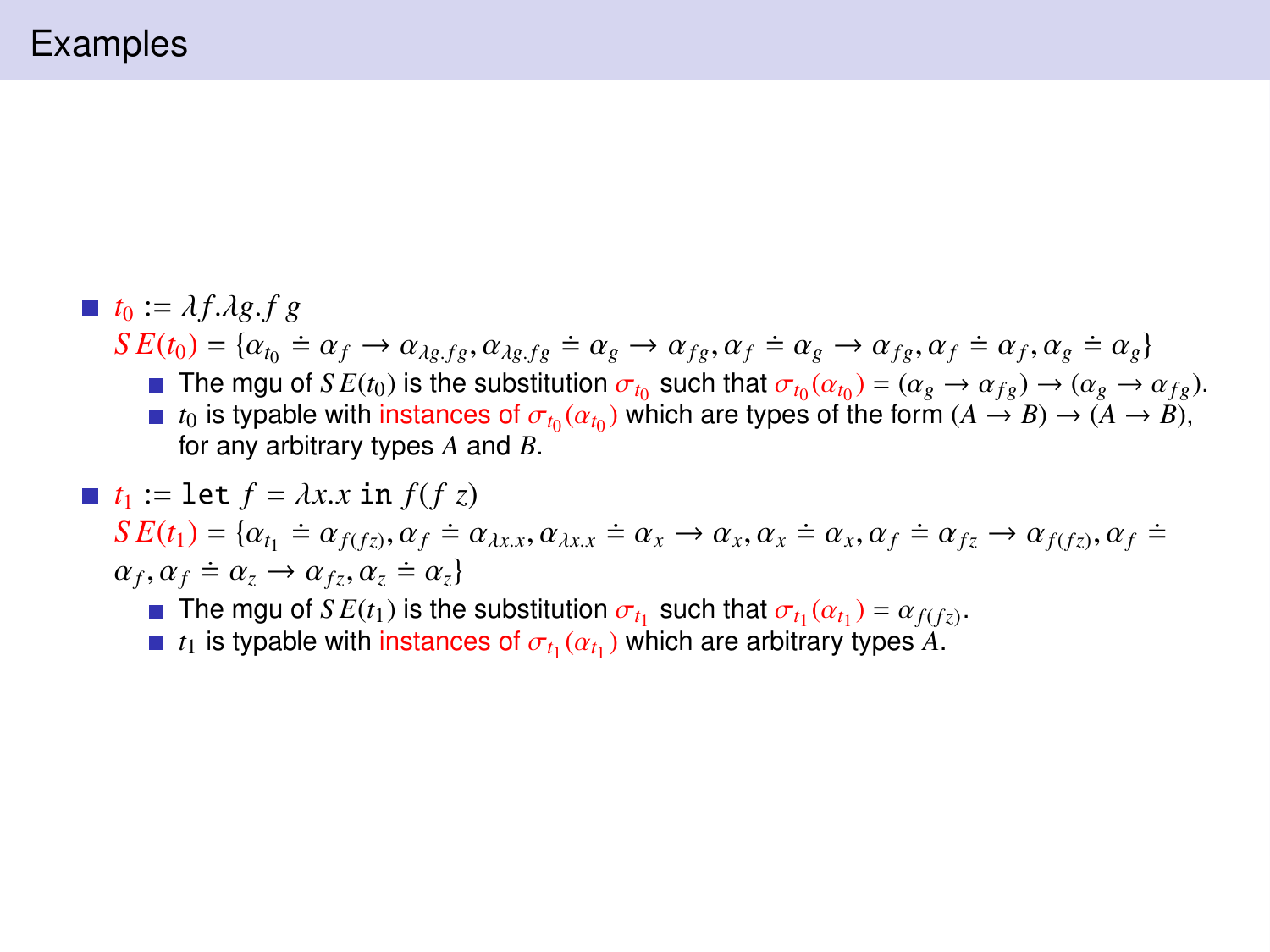$\blacksquare$   $t_0 := \lambda f \cdot \lambda g \cdot f g$  $S E(t_0) = \{ \alpha_{t_0} \doteq \alpha_f \rightarrow \alpha_{\lambda g, fg}, \alpha_{\lambda g, fg} \doteq \alpha_g \rightarrow \alpha_{fg}, \alpha_f \doteq \alpha_g \rightarrow \alpha_{fg}, \alpha_f \doteq \alpha_f, \alpha_g \doteq \alpha_g \}$ <br>
The may of *S E(t<sub>0</sub>*) is the substitution  $\alpha_s$ , such that  $\alpha_s(\alpha_s) = (\alpha_s \rightarrow \alpha_g) \rightarrow (\alpha_s \rightarrow \alpha_g)$ The mgu of  $SE(t_0)$  is the substitution  $\sigma_{t_0}$  such that  $\sigma_{t_0}(\alpha_{t_0}) = (\alpha_g \to \alpha_{fg}) \to (\alpha_g \to \alpha_{fg})$ .<br> $t_0$  is typable with instances of  $\sigma_t$  ( $\alpha_t$ ) which are types of the form  $(A \to B) \to (A \to B)$ . *t*<sub>0</sub> is typable with instances of  $\sigma_{t_0}(\alpha_{t_0})$  which are types of the form  $(A \to B) \to (A \to B)$ ,<br>for any arbitrary types A and B for any arbitrary types *A* and *B*.  $\blacksquare$  *t*<sub>1</sub> := let  $f = \lambda x.x$  in  $f(fz)$ 

 $S E(t_1) = \{ \alpha_{t_1} \doteq \alpha_{f(fz)}, \alpha_f \doteq \alpha_{\lambda x} , \alpha_{\lambda x} \doteq \alpha_x \rightarrow \alpha_x, \alpha_x \doteq \alpha_x, \alpha_f \doteq \alpha_{fz} \rightarrow \alpha_{f(fz)}, \alpha_f \doteq \alpha_{\lambda x} \rightarrow \alpha_{\lambda y} \}$  $\alpha_f, \alpha_f \doteq \alpha_z \rightarrow \alpha_{fz}, \alpha_z \doteq \alpha_z$ <br>
The may of *S E*(*t*) is the

The mgu of  $SE(t_1)$  is the substitution  $\sigma_{t_1}$  such that  $\sigma_{t_1}(\alpha_{t_1}) = \alpha_{f(fz)}$ .<br> $t_1$  is typable with instances of  $\sigma_{t_1}(\alpha_t)$  which are arbitrary types A

*t*<sub>1</sub> is typable with instances of  $\sigma_{t_1}(\alpha_{t_1})$  which are arbitrary types A.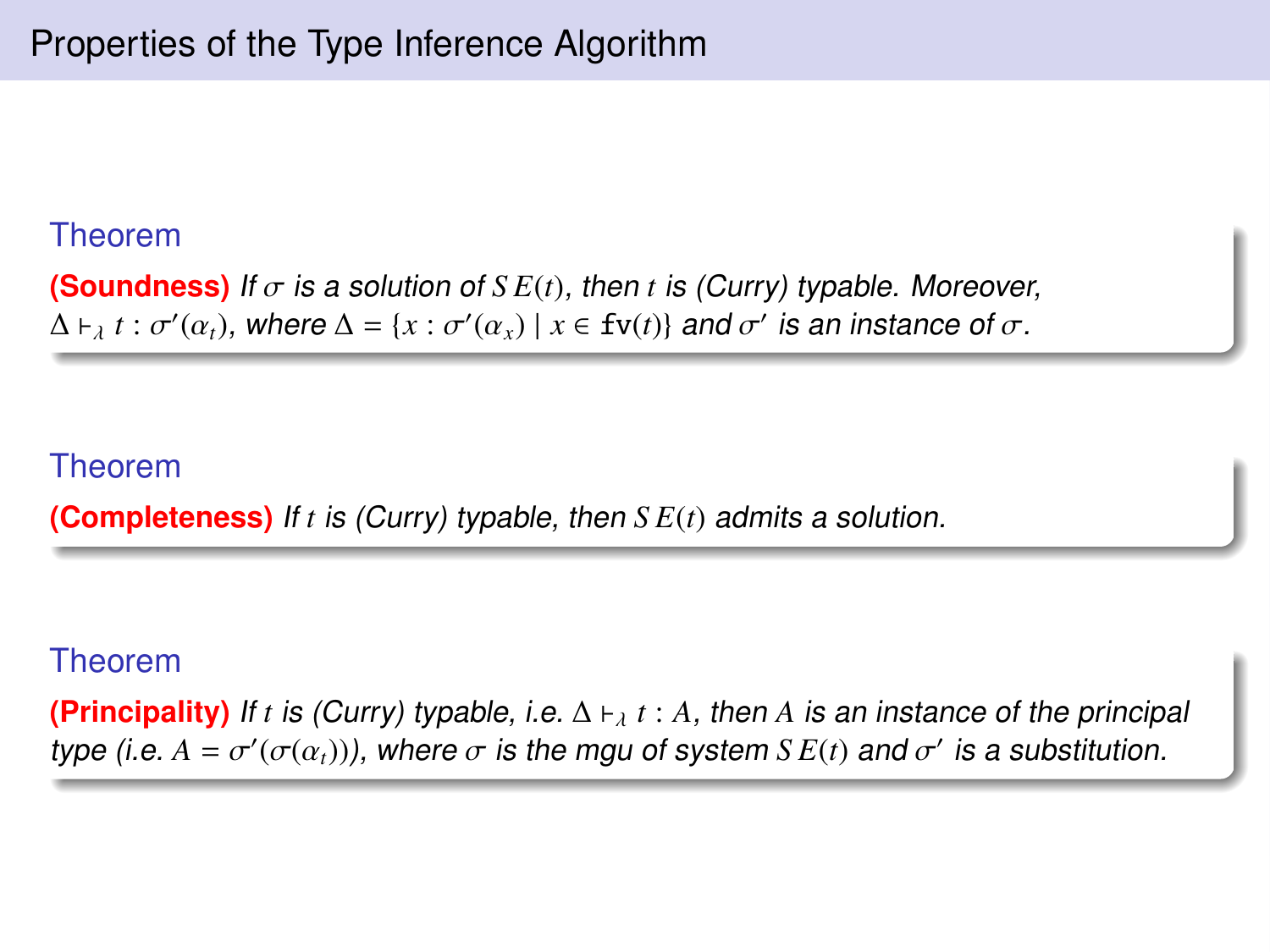#### Theorem

**(Soundness)** If  $\sigma$  is a solution of  $SE(t)$ , then t is (Curry) typable. Moreover,  $\Delta \vdash_{\lambda} t : \sigma'(\alpha_t)$ , where  $\Delta = \{x : \sigma'(\alpha_x) \mid x \in \text{fv}(t)\}$  and  $\sigma'$  is an instance of  $\sigma$ .

#### Theorem

**(Completeness)** If *t* is (Curry) typable, then *S E*(*t*) admits a solution.

#### Theorem

**(Principality)** If *t* is (Curry) typable, i.e.  $\Delta \vdash_{\lambda} t : A$ , then *A* is an instance of the principal type (i.e.  $A = \sigma'(\sigma(\alpha_t))$ ), where  $\sigma$  is the mgu of system  $SE(t)$  and  $\sigma'$  is a substitution.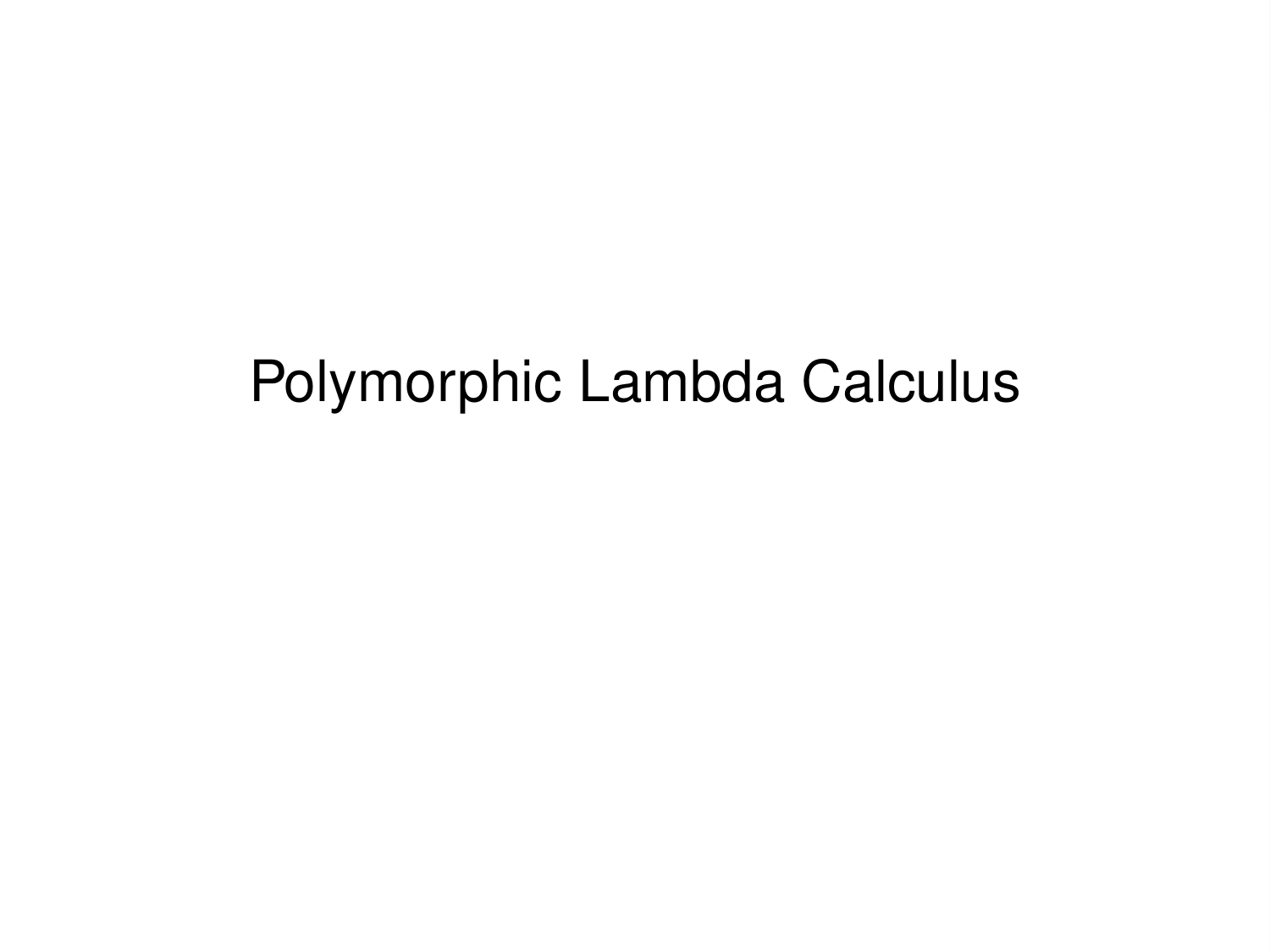# Polymorphic Lambda Calculus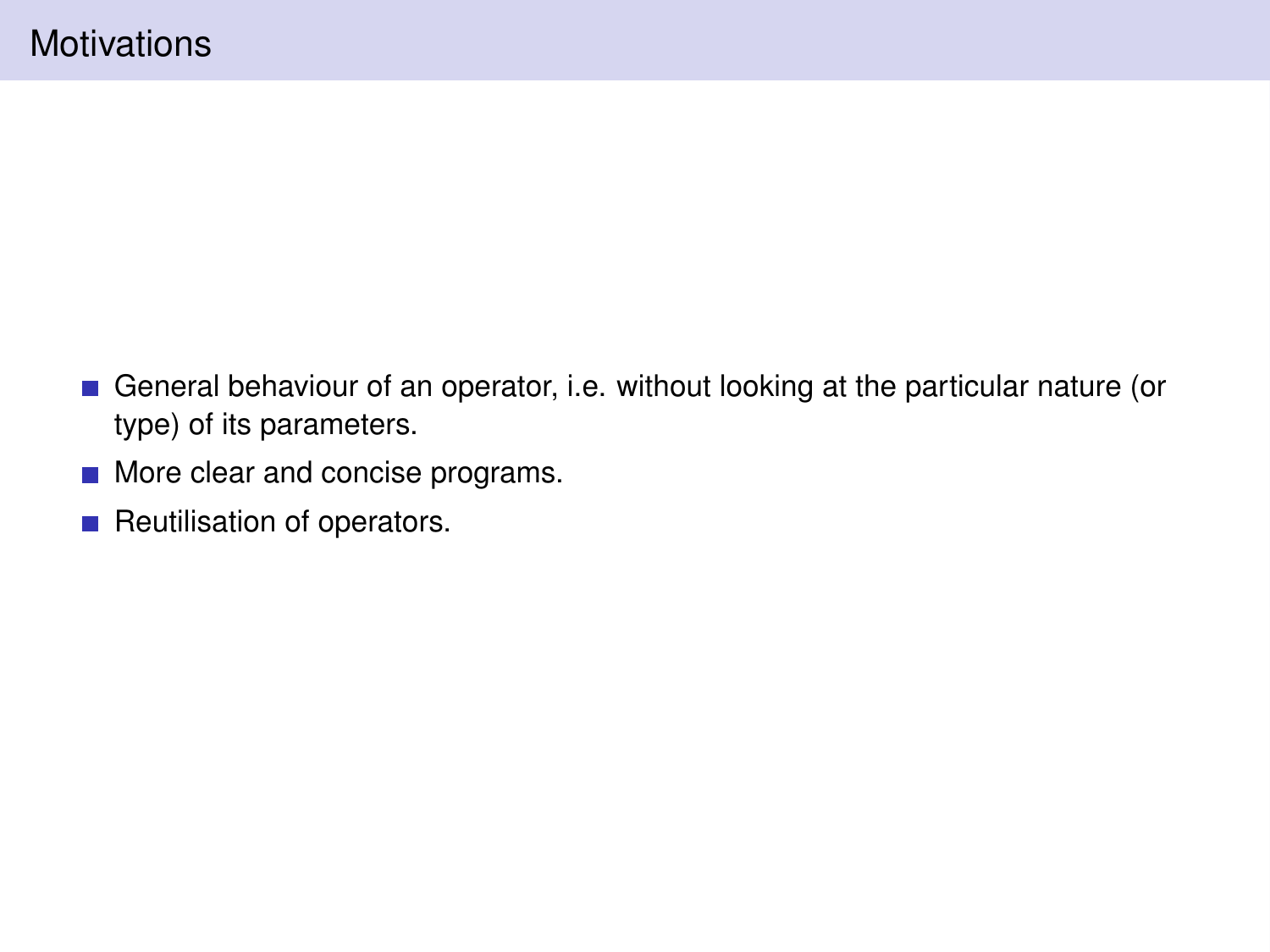- General behaviour of an operator, i.e. without looking at the particular nature (or type) of its parameters.
- **More clear and concise programs.**
- Reutilisation of operators.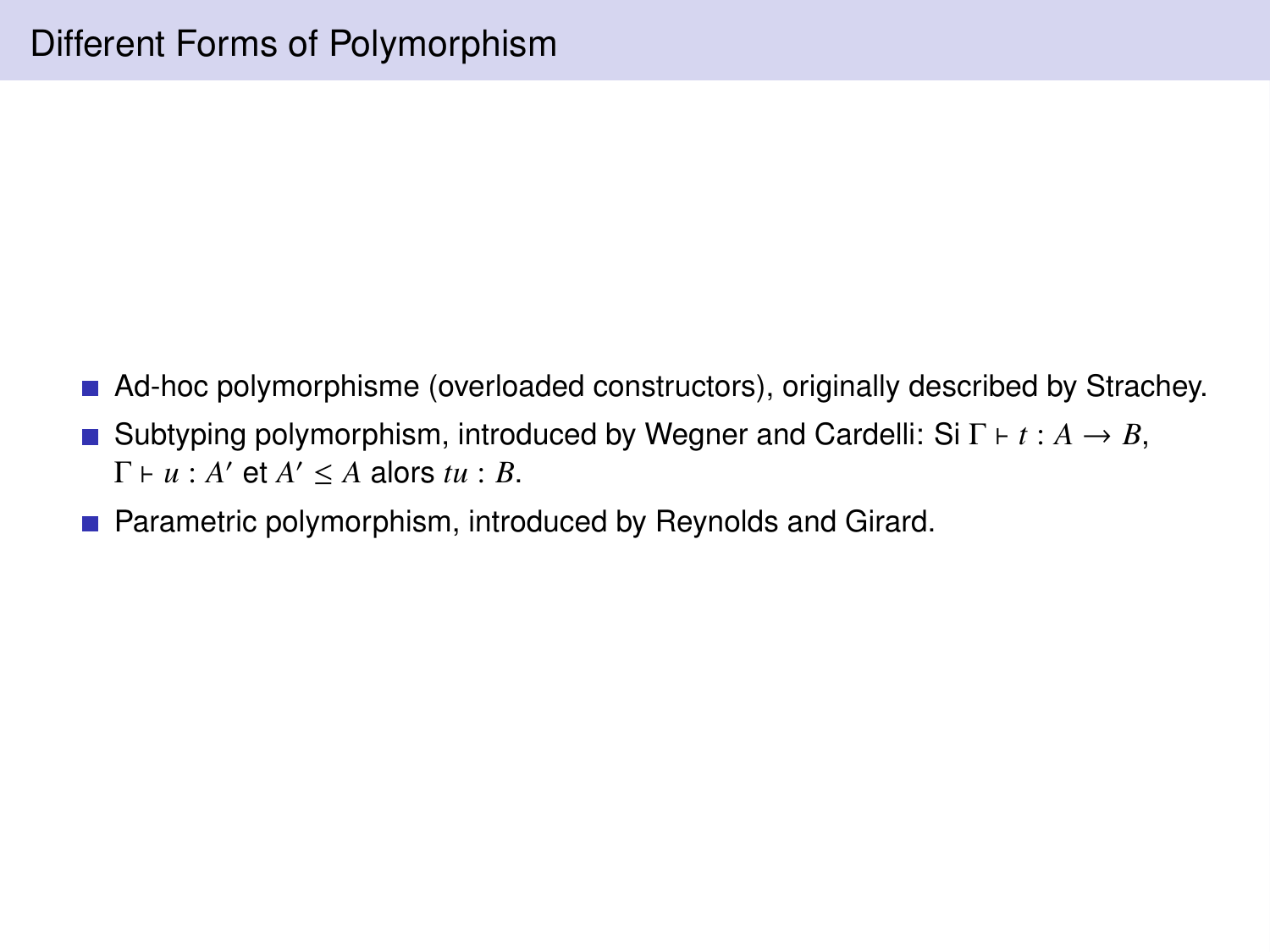- Ad-hoc polymorphisme (overloaded constructors), originally described by Strachey.
- Subtyping polymorphism, introduced by Wegner and Cardelli: Si  $\Gamma \vdash t : A \rightarrow B$ ,  $\Gamma \vdash u : A' \text{ et } A' \leq A \text{ alors } tu : B.$
- **Parametric polymorphism, introduced by Reynolds and Girard.**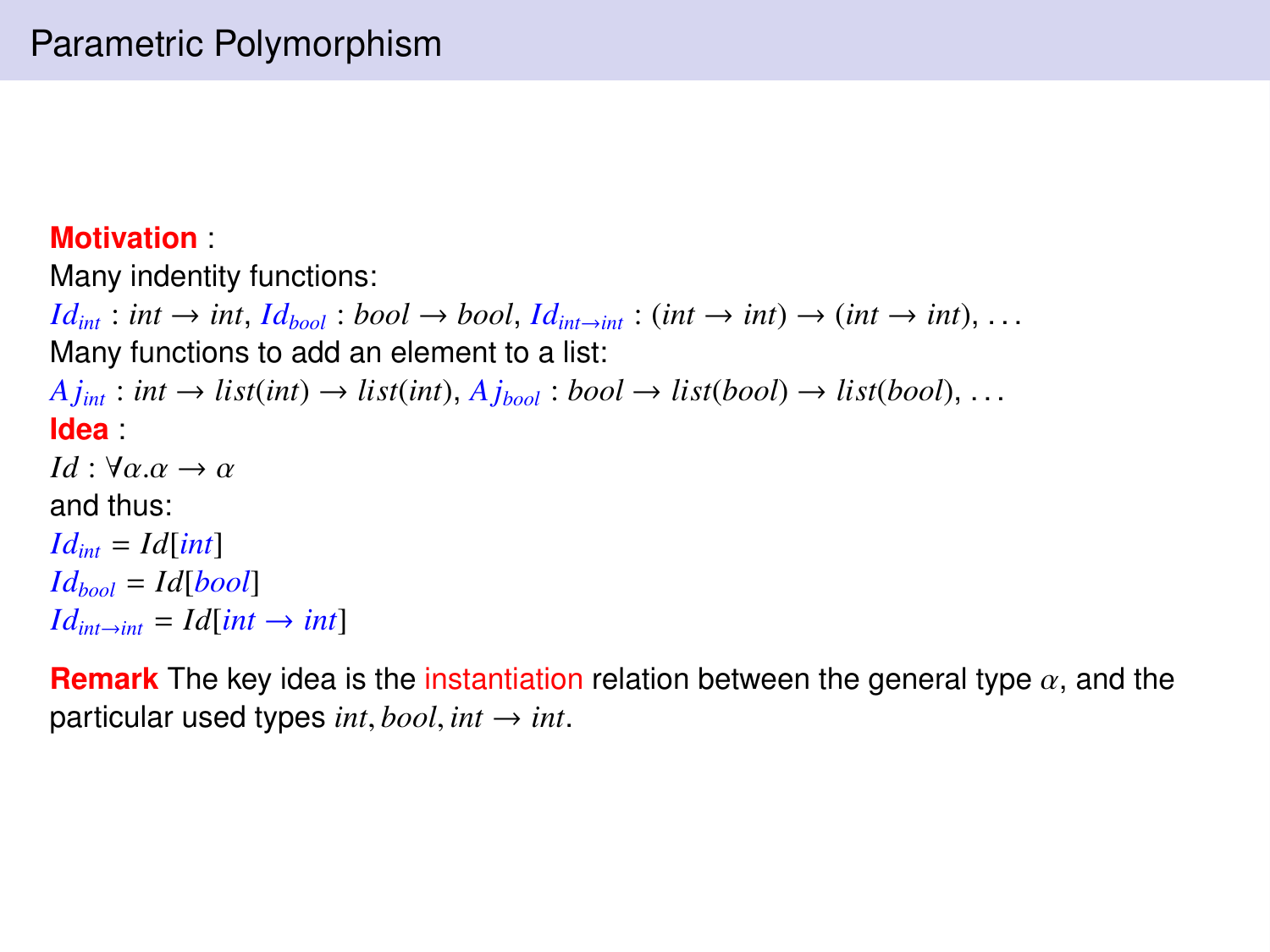#### **Motivation** :

Many indentity functions:

 $Id_{int}$  : *int*  $\rightarrow$  *int*,  $Id_{bool}$  : *bool*  $\rightarrow$  *bool*,  $Id_{int \rightarrow int}$  : (*int*  $\rightarrow$  *int*)  $\rightarrow$  (*int*  $\rightarrow$  *int*), ... Many functions to add an element to a list:  $A$ *j*<sub>int</sub>: *int*  $\rightarrow$  *list*(*int*)  $\rightarrow$  *list*(*int*),  $A$ *j*<sub>*hool*</sub>: *bool*  $\rightarrow$  *list*(*bool*)  $\rightarrow$  *list*(*bool*), ... **Idea** : *Id* :  $\forall \alpha \cdot \alpha \rightarrow \alpha$ and thus:  $Id_{int} = Id$ **[int**]  $Id_{bool} = Id[bool]$  $Id_{int \rightarrow int} = Id(int \rightarrow int]$ 

**Remark** The key idea is the instantiation relation between the general type  $\alpha$ , and the particular used types  $int, bool, int \rightarrow int$ .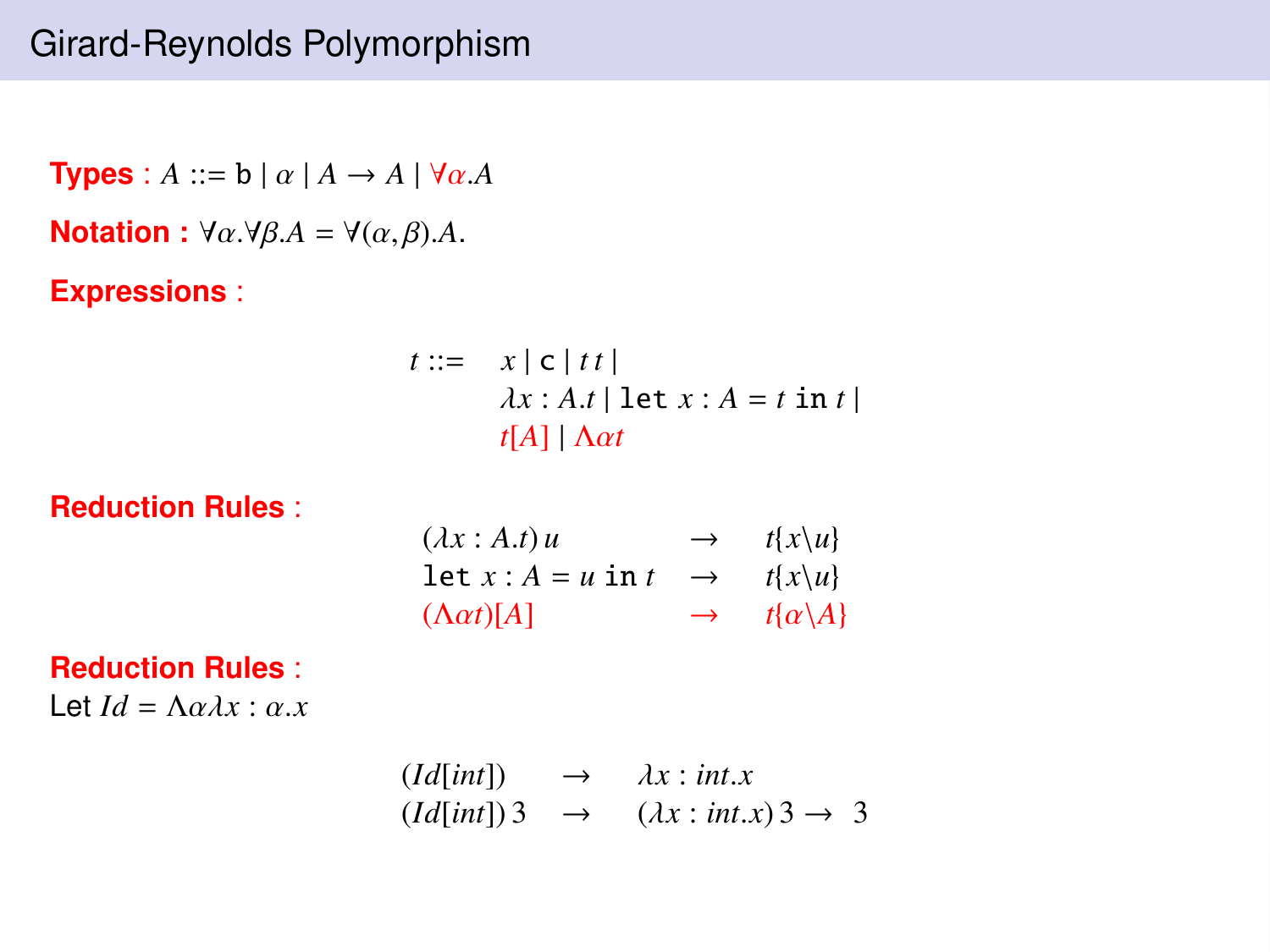**Types** :  $A ::= b | \alpha | A \rightarrow A | \forall \alpha.A$ **Notation :**  $\forall \alpha \cdot \forall \beta A = \forall (\alpha, \beta) \cdot A$ . **Expressions** :  $t ::= x \mid c \mid t \mid t$ 

$$
\begin{aligned}\n\therefore &= x \mid c \mid tt \\
\lambda x: A.t \mid \text{let } x: A = t \text{ in } t \\
\mid t[A] \mid \Delta \alpha t\n\end{aligned}
$$

**Reduction Rules** :

| $(\lambda x:A.t)u$       | $\rightarrow$ | $t\{x\}u\}$      |
|--------------------------|---------------|------------------|
| $\det x:A=u$ in t        | $\rightarrow$ | $t\{x\}u\}$      |
| $(\Lambda \alpha t)  A $ | $\rightarrow$ | $t\{\alpha\}A\}$ |
|                          |               |                  |

#### **Reduction Rules** :

Let  $Id = \Lambda \alpha \lambda x : \alpha.x$ 

$$
\begin{array}{rcl}\n(Id[\text{int}]) & \to & \lambda x : \text{int}.x \\
(Id[\text{int}])3 & \to & (\lambda x : \text{int}.x)3 \to 3\n\end{array}
$$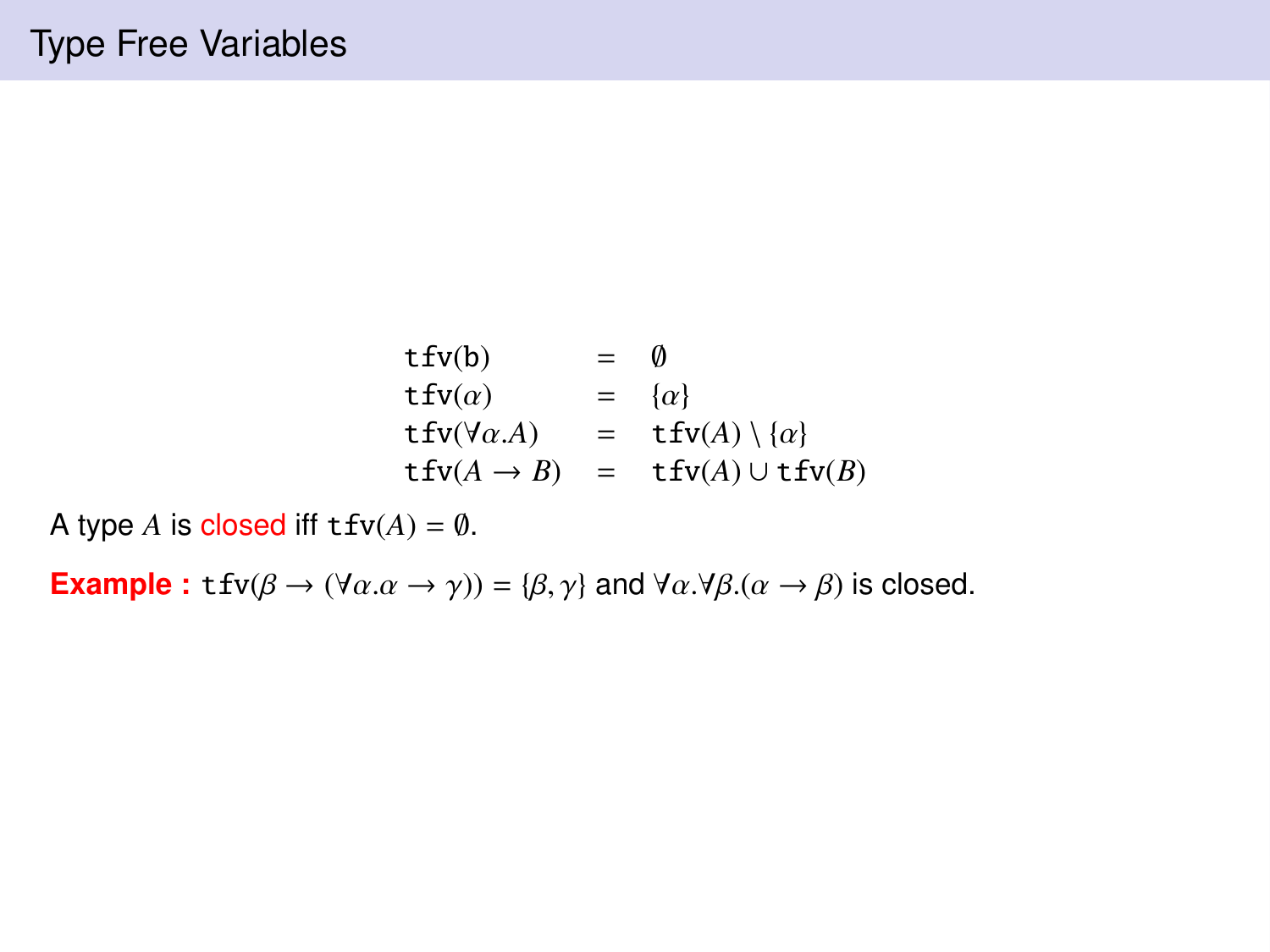$$
\begin{array}{rcl}\n\text{tfv}(b) & = & \emptyset \\
\text{tfv}(\alpha) & = & \{\alpha\} \\
\text{tfv}(\forall \alpha.A) & = & \text{tfv}(A) \setminus \{\alpha\} \\
\text{tfv}(A \rightarrow B) & = & \text{tfv}(A) \cup \text{tfv}(B)\n\end{array}
$$

A type *A* is closed iff  $tfv(A) = \emptyset$ .

**Example :** tfv( $\beta \rightarrow (\forall \alpha \ldotp \alpha \rightarrow \gamma)$ ) = { $\beta$ ,  $\gamma$ } and  $\forall \alpha \ldotp \forall \beta \ldotp (\alpha \rightarrow \beta)$  is closed.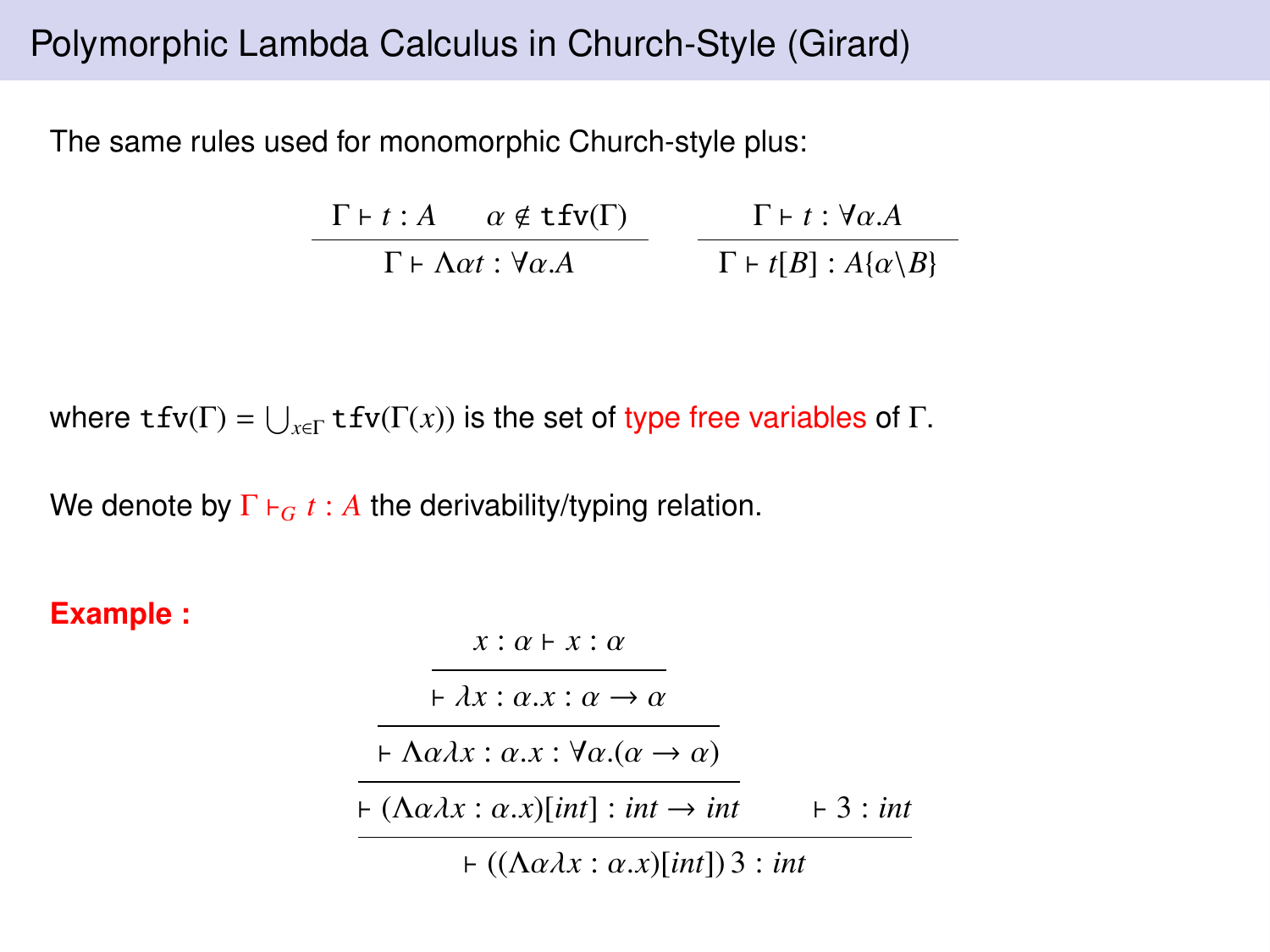# Polymorphic Lambda Calculus in Church-Style (Girard)

The same rules used for monomorphic Church-style plus:

$$
\frac{\Gamma \vdash t : A \quad \alpha \notin \mathbf{t} f \mathbf{v}(\Gamma)}{\Gamma \vdash \Lambda \alpha t : \forall \alpha . A} \qquad \frac{\Gamma \vdash t : \forall \alpha . A}{\Gamma \vdash t[B] : A\{\alpha \setminus B\}}
$$

where  $\texttt{tfv}(\Gamma) = \bigcup_{x \in \Gamma} \texttt{tfv}(\Gamma(x))$  is the set of type free variables of  $\Gamma$ .

We denote by  $\Gamma \vdash_G t : A$  the derivability/typing relation.

#### **Example :**

| $x : \alpha \vdash x : \alpha$                                                              |           |
|---------------------------------------------------------------------------------------------|-----------|
| $\vdash \lambda x : \alpha.x : \alpha \rightarrow \alpha$                                   |           |
| $\vdash \Lambda \alpha \lambda x : \alpha.x : \forall \alpha . (\alpha \rightarrow \alpha)$ |           |
| $\vdash (\Lambda \alpha \lambda x : \alpha \cdot x)$ [int] : int $\rightarrow$ int          | $+3:$ int |
| $\vdash ((\Lambda \alpha \lambda x : \alpha \cdot x)[\text{int}])$ 3 : int                  |           |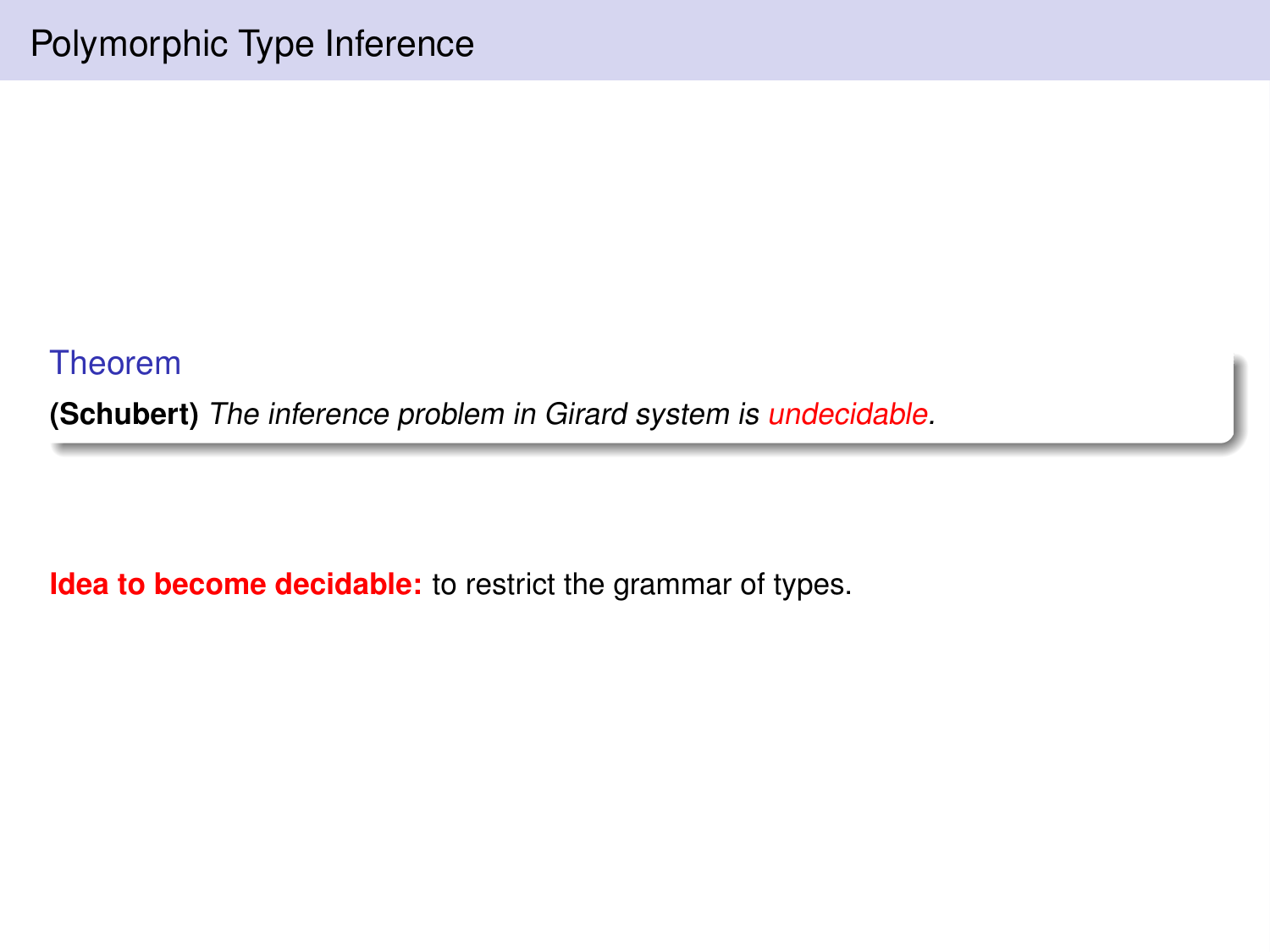Theorem **(Schubert)** The inference problem in Girard system is undecidable.

**Idea to become decidable:** to restrict the grammar of types.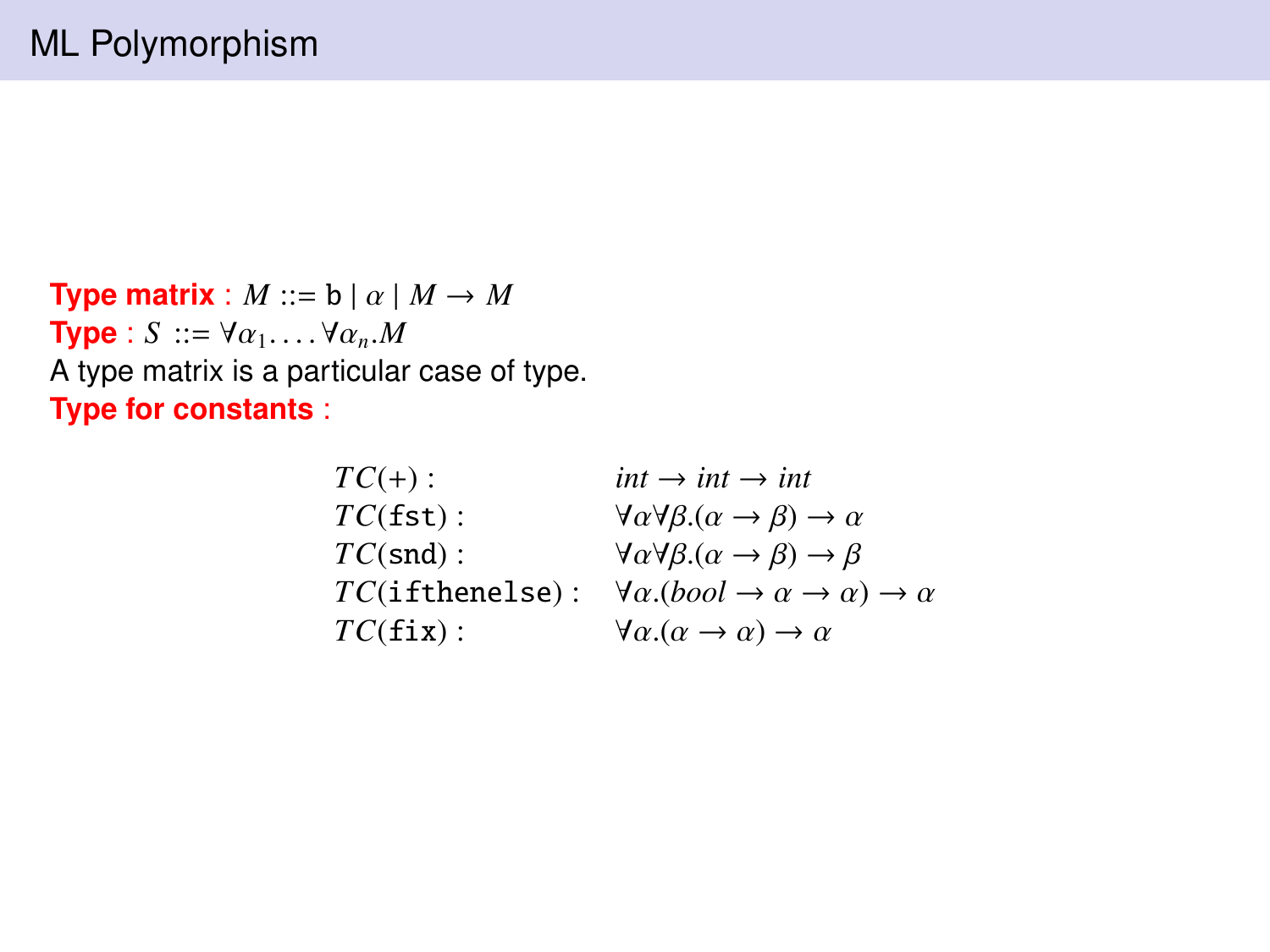**Type matrix** :  $M ::= b | \alpha | M \rightarrow M$ **Type** : *S* ::=  $\forall \alpha_1$ .... $\forall \alpha_n$ .*M* A type matrix is a particular case of type. **Type for constants** :

| $TC(+)$ :          | $int \rightarrow int \rightarrow int$                                             |
|--------------------|-----------------------------------------------------------------------------------|
| TC(fst):           | $\forall \alpha \forall \beta.(\alpha \rightarrow \beta) \rightarrow \alpha$      |
| $TC(snd)$ :        | $\forall \alpha \forall \beta.(\alpha \rightarrow \beta) \rightarrow \beta$       |
| $TC$ (ifthenelse): | $\forall \alpha. (bool \rightarrow \alpha \rightarrow \alpha) \rightarrow \alpha$ |
| $TC(fix)$ :        | $\forall \alpha.(\alpha \rightarrow \alpha) \rightarrow \alpha$                   |
|                    |                                                                                   |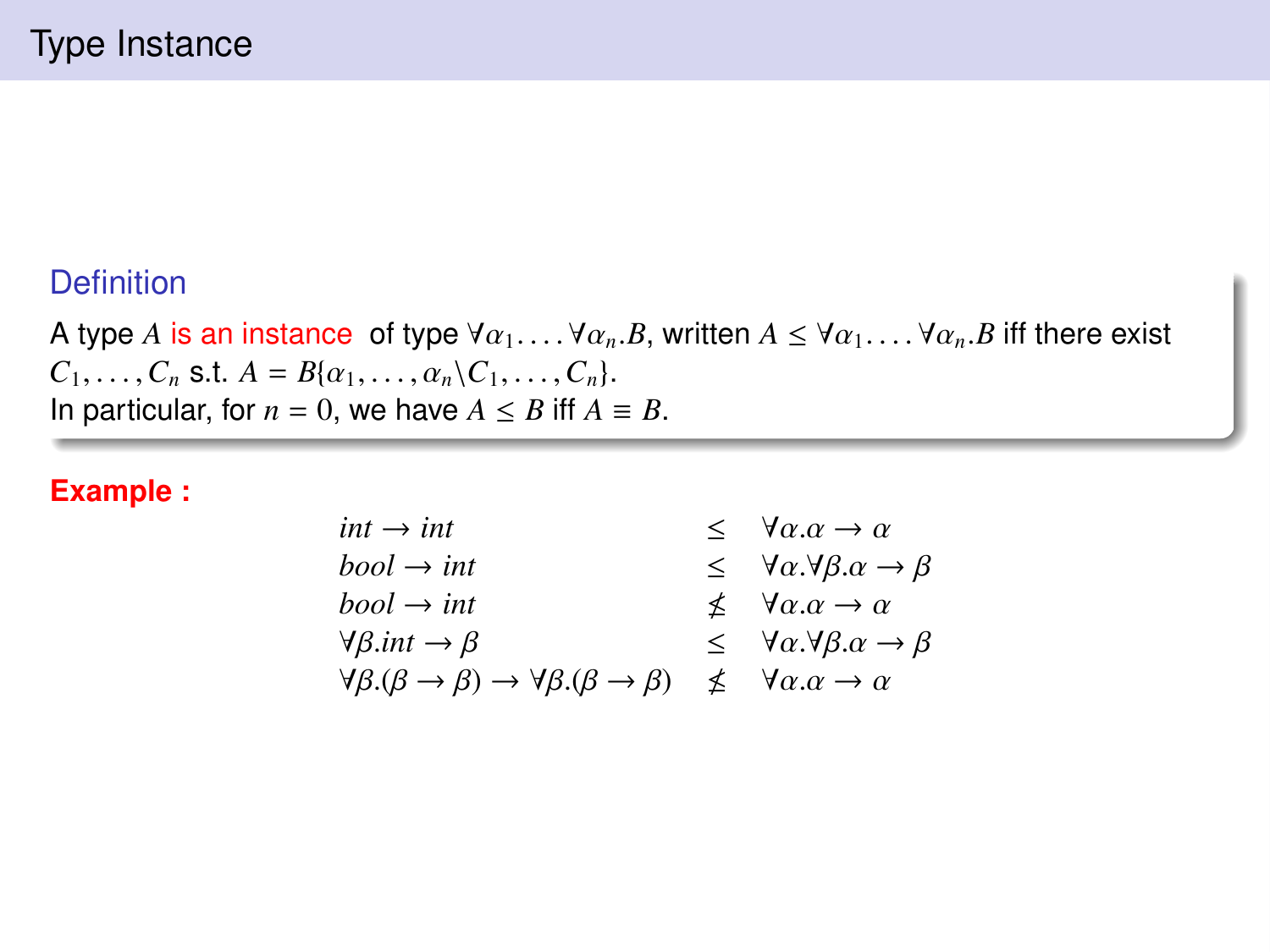#### **Definition**

A type *A* is an instance of type  $\forall \alpha_1, \ldots, \forall \alpha_n, B$ , written  $A \leq \forall \alpha_1, \ldots, \forall \alpha_n, B$  iff there exist  $C_1, \ldots, C_n$  s.t.  $A = B(\alpha_1, \ldots, \alpha_n \setminus C_1, \ldots, C_n).$ In particular, for  $n = 0$ , we have  $A \leq B$  iff  $A \equiv B$ .

#### **Example :**

| $int \rightarrow int$                                                                         | $\leq \forall \alpha \ldotp \alpha \rightarrow \alpha$                 |
|-----------------------------------------------------------------------------------------------|------------------------------------------------------------------------|
| $bool \rightarrow int$                                                                        | $\leq \forall \alpha. \forall \beta. \alpha \rightarrow \beta$         |
| $bool \rightarrow int$                                                                        | $\n  \Delta \ \ \forall \alpha \ldotp \alpha \rightarrow \alpha$       |
| $\forall \beta$ .int $\rightarrow \beta$                                                      | $\leq \forall \alpha \forall \beta \ldotp \alpha \rightarrow \beta$    |
| $\forall \beta.(\beta \rightarrow \beta) \rightarrow \forall \beta.(\beta \rightarrow \beta)$ | $\measuredangle \quad \forall \alpha \ldotp \alpha \rightarrow \alpha$ |
|                                                                                               |                                                                        |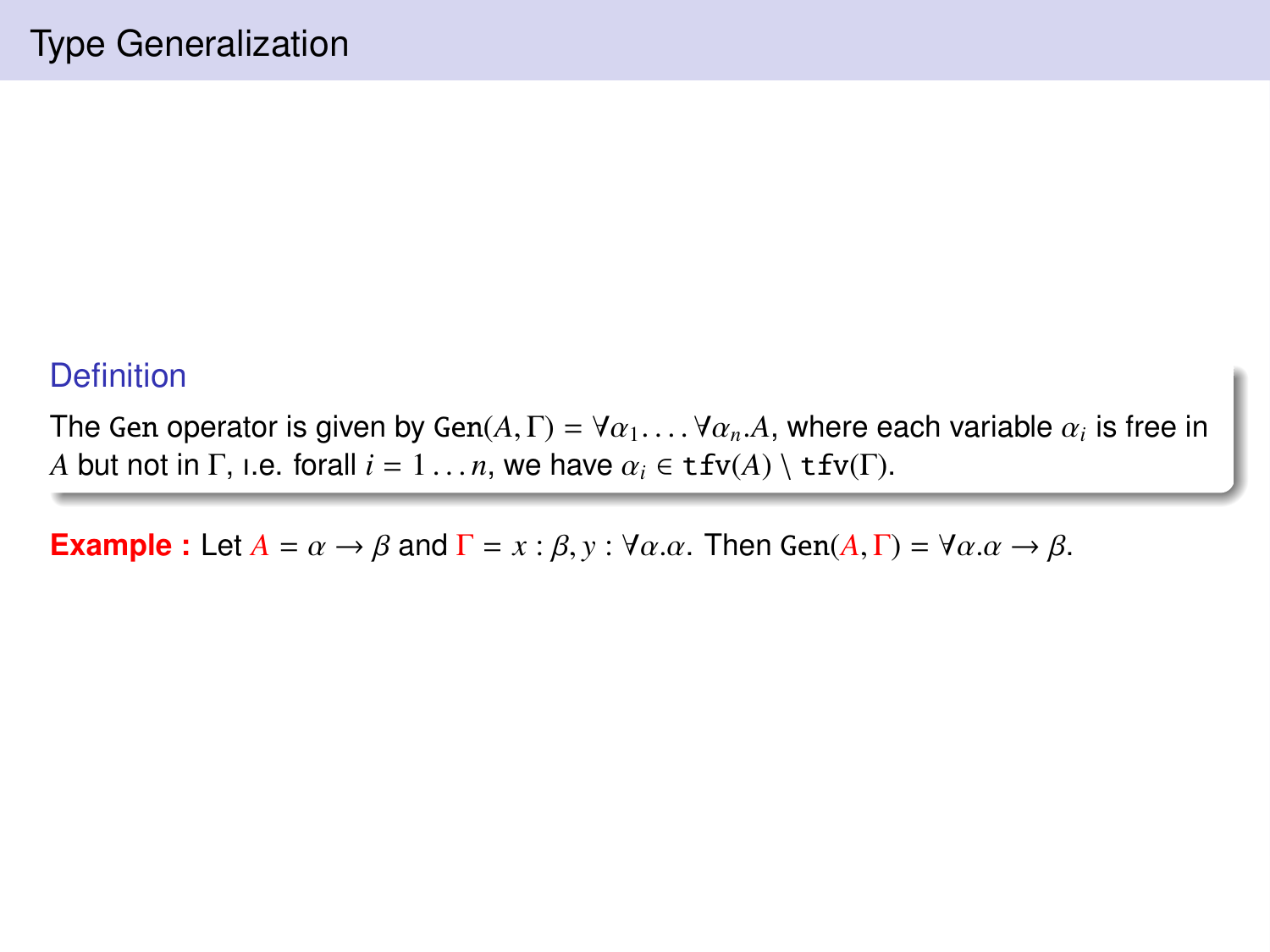### **Definition**

The Gen operator is given by Gen $(A, \Gamma) = \forall \alpha_1, \ldots, \forall \alpha_n, A$ , where each variable  $\alpha_i$  is free in<br>A but not in  $\Gamma$  i.e. forall  $i = 1$ , we have  $\alpha_i \in f(v(A))$  if  $f(v(\Gamma))$ *A* but not in  $\Gamma$ , i.e. forall  $i = 1 \ldots n$ , we have  $\alpha_i \in \text{tfv}(A) \setminus \text{tfv}(\Gamma)$ .

**Example :** Let  $A = \alpha \rightarrow \beta$  and  $\Gamma = x : \beta, y : \forall \alpha \ldotp \alpha$ . Then Gen( $A, \Gamma$ ) =  $\forall \alpha \ldotp \alpha \rightarrow \beta$ .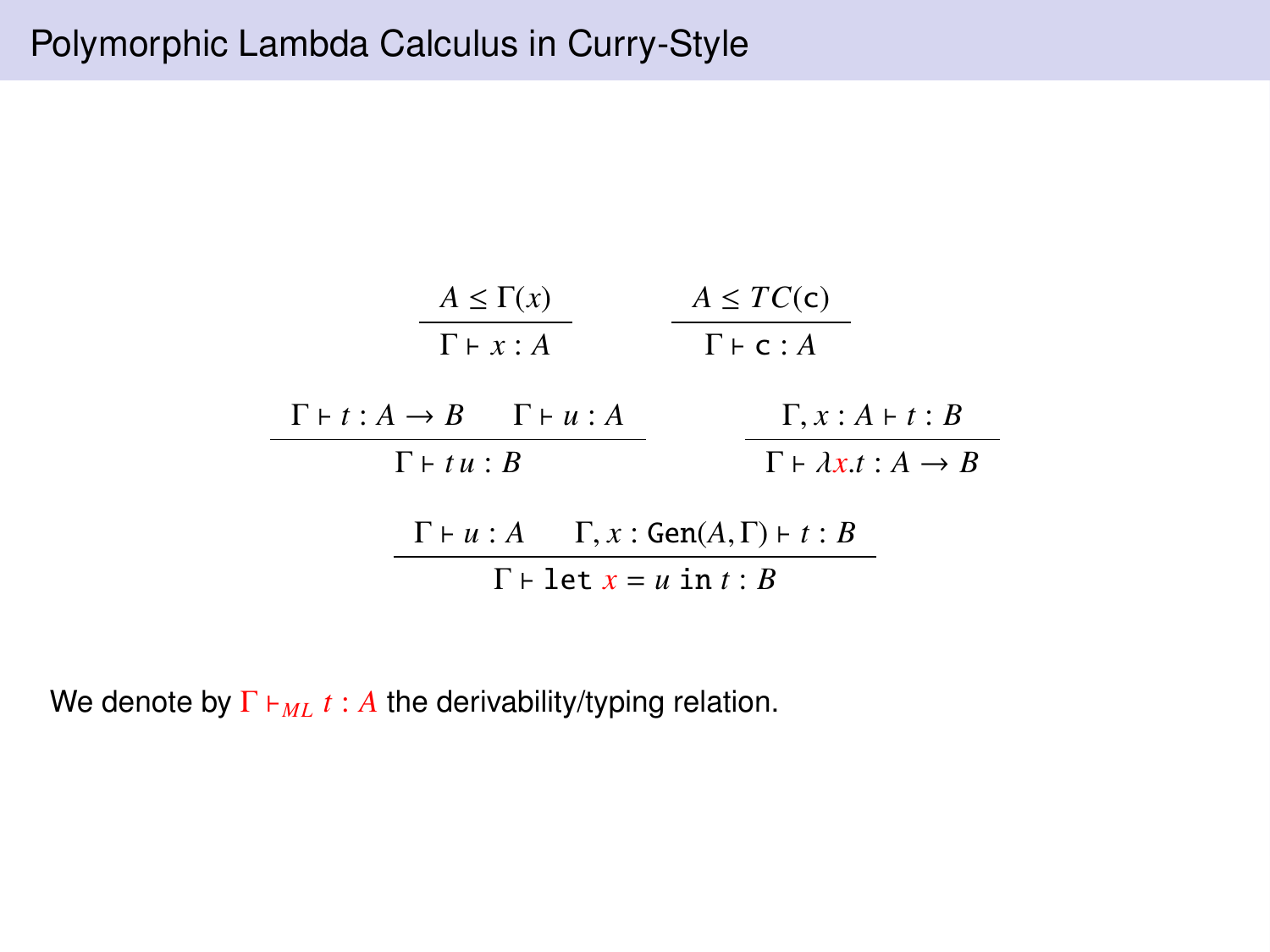

We denote by  $\Gamma \vdash_{ML} t : A$  the derivability/typing relation.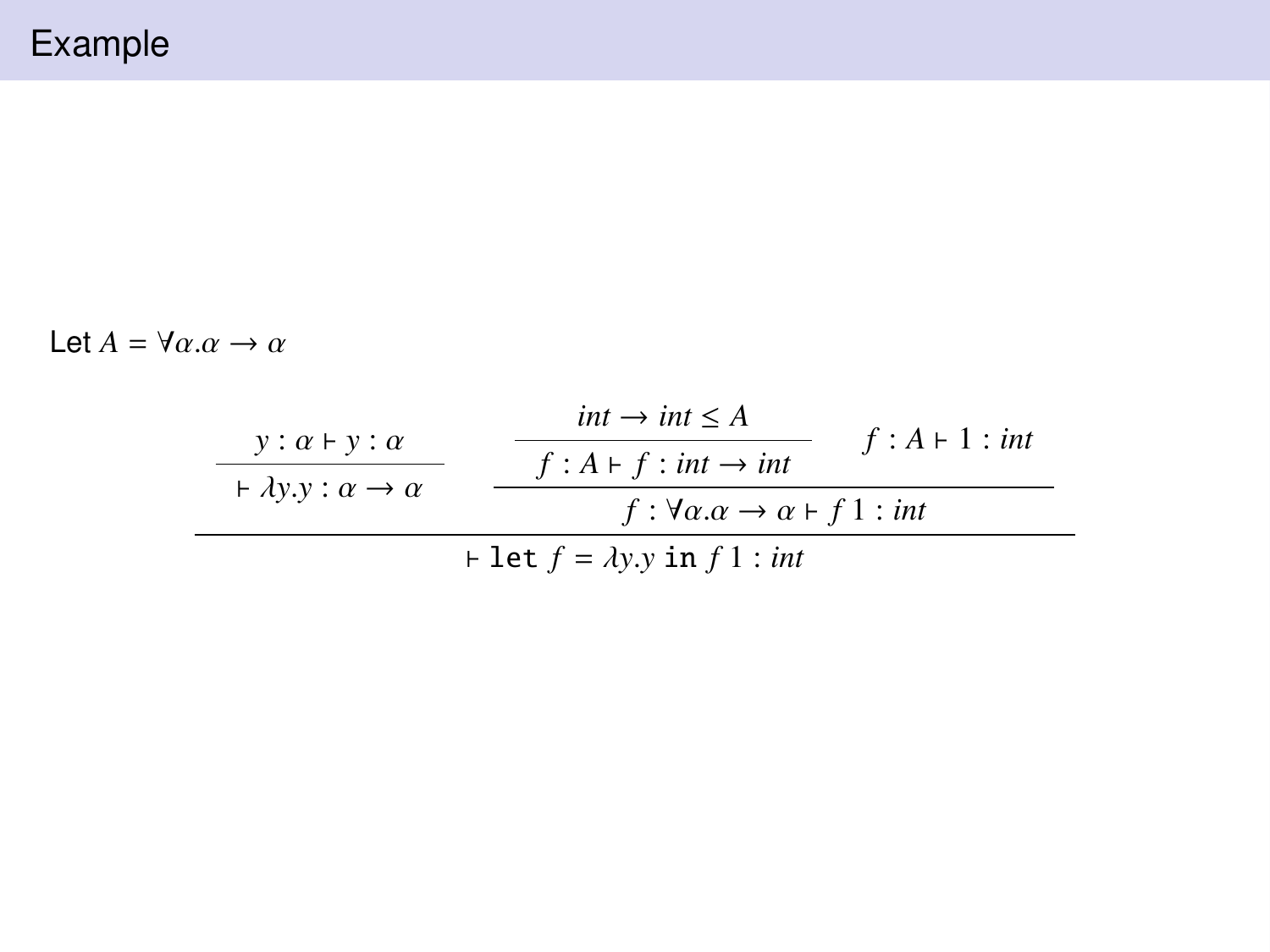Let  $A = \forall \alpha \ldotp \alpha \rightarrow \alpha$ 

| $y: \alpha \vdash y: \alpha$                     | $int \rightarrow int \leq A$                                               | $f: A \vdash 1: int$ |
|--------------------------------------------------|----------------------------------------------------------------------------|----------------------|
| $\vdash \lambda y.y : \alpha \rightarrow \alpha$ | $f: A \vdash f : int \rightarrow int$                                      |                      |
|                                                  | $f: \forall \alpha \ldotp \alpha \rightarrow \alpha \vdash f1: \text{int}$ |                      |
| $\vdash$ let $f = \lambda y.y$ in $f$ l : int    |                                                                            |                      |
|                                                  |                                                                            |                      |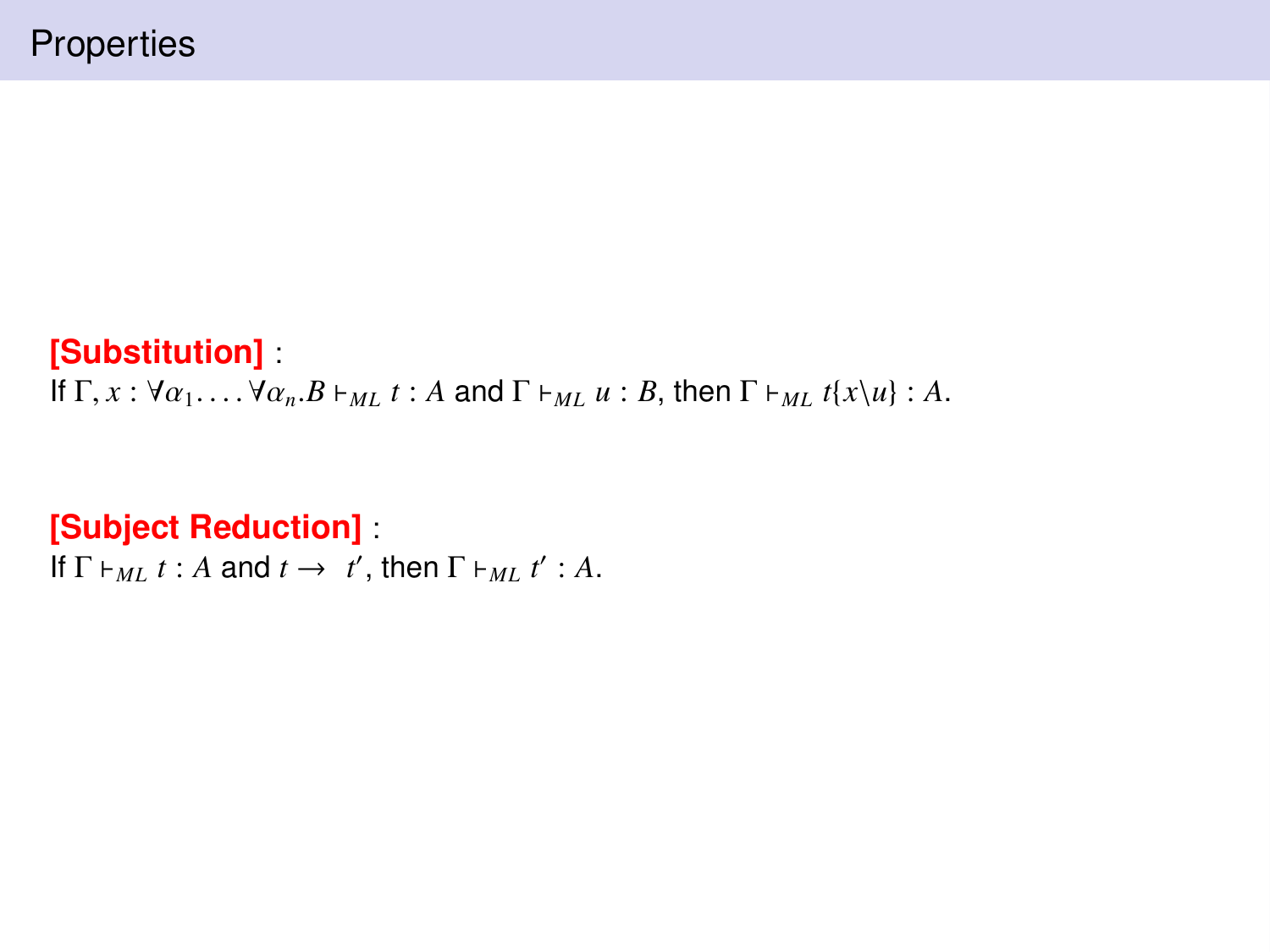## **[Substitution]** :

If  $\Gamma, x : \forall \alpha_1, \ldots, \forall \alpha_n, B \vdash_{ML} t : A \text{ and } \Gamma \vdash_{ML} u : B \text{, then } \Gamma \vdash_{ML} t\{x \setminus u\} : A$ .

# **[Subject Reduction]** :

If  $\Gamma \vdash_{ML} t : A$  and  $t \to t'$ , then  $\Gamma \vdash_{ML} t' : A$ .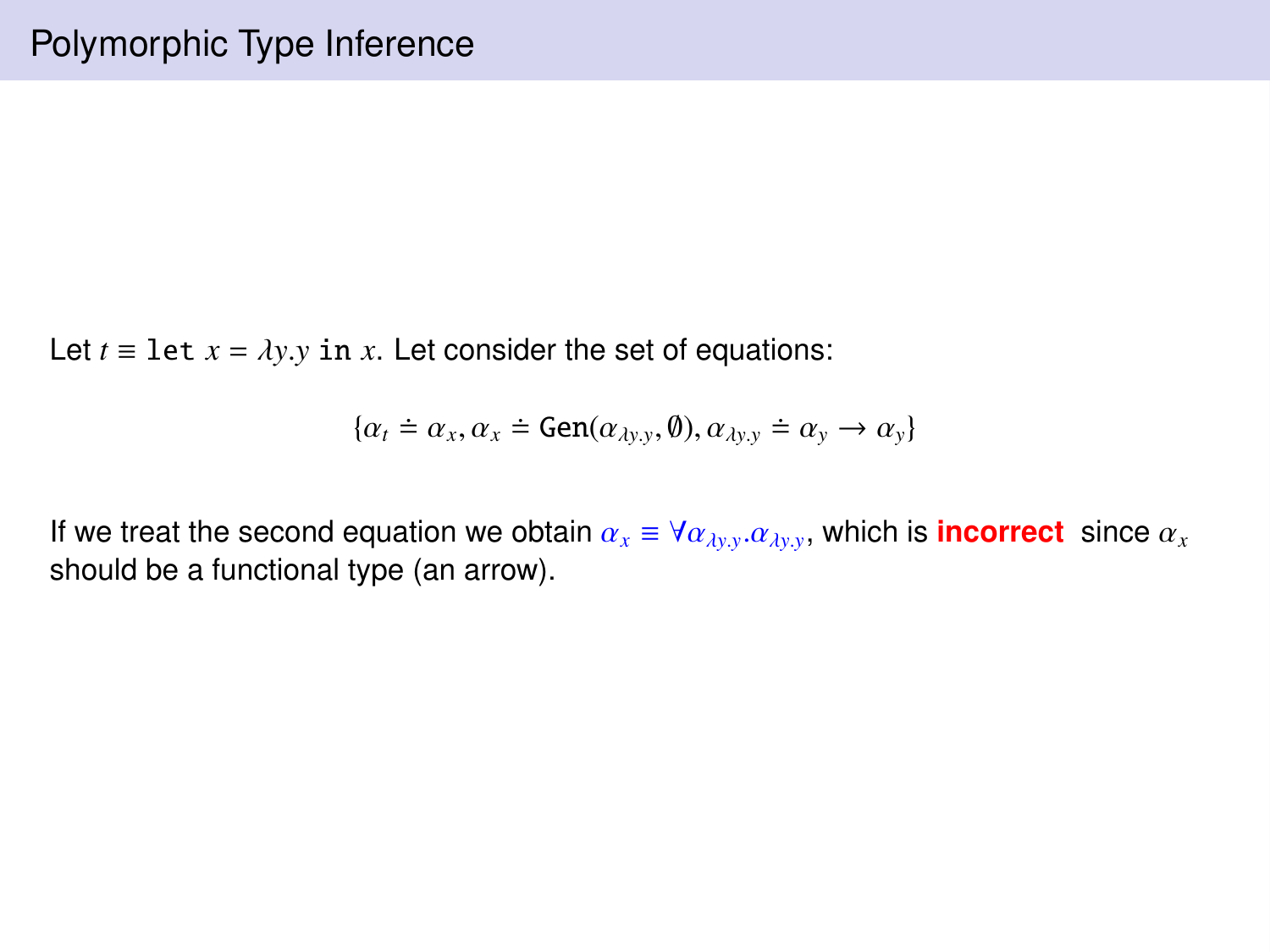Let  $t \equiv 1$  et  $x = \lambda y. y$  in  $x$ . Let consider the set of equations:

$$
\{\alpha_t \doteq \alpha_x, \alpha_x \doteq \text{Gen}(\alpha_{\lambda y.y}, \emptyset), \alpha_{\lambda y.y} \doteq \alpha_y \rightarrow \alpha_y\}
$$

If we treat the second equation we obtain  $\alpha_x \equiv \forall \alpha_{\lambda y,y}.\alpha_{\lambda y,y}$ , which is **incorrect** since  $\alpha_x$ <br>should be a functional type (an arrow) should be a functional type (an arrow).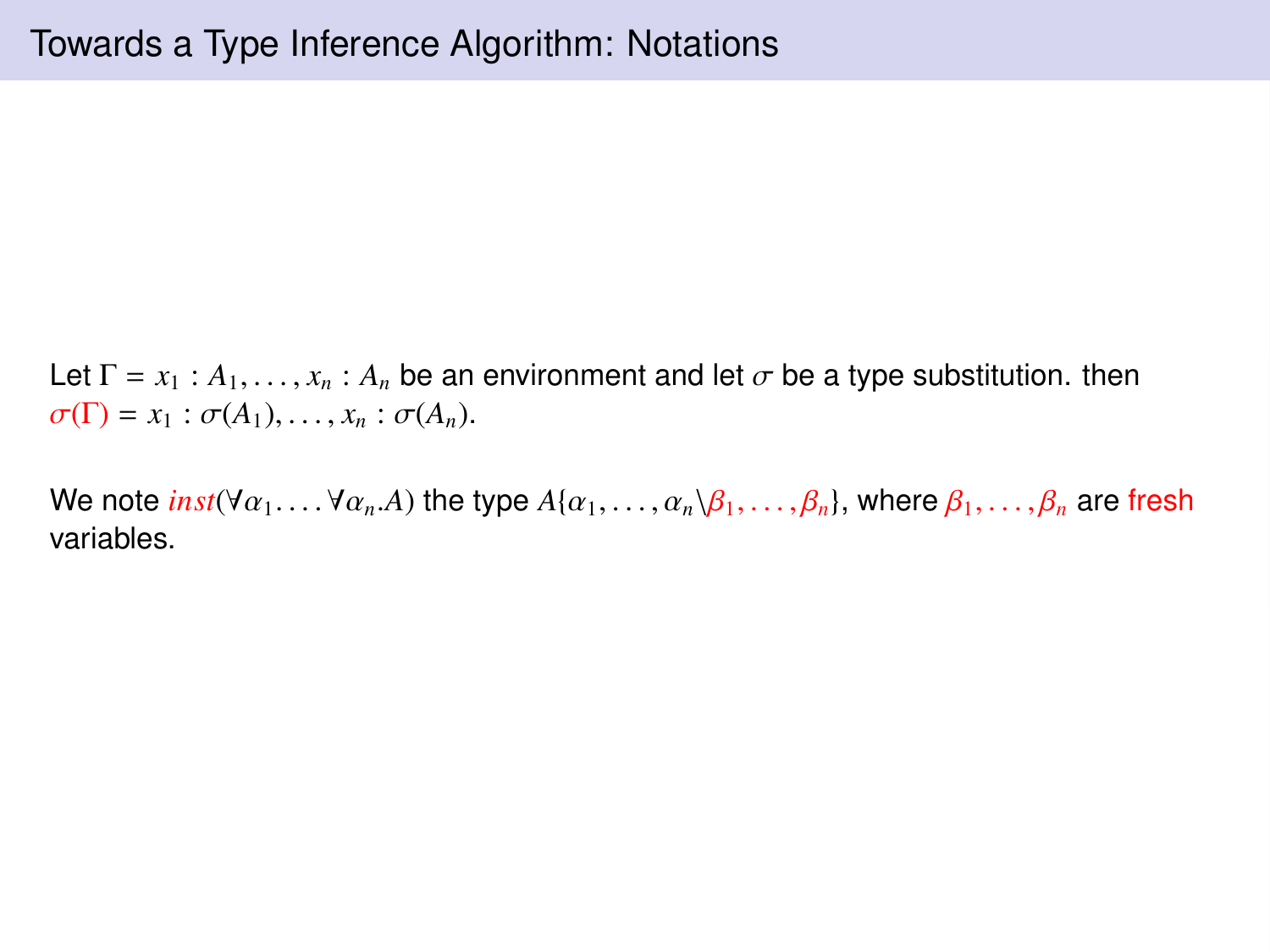Let  $\Gamma = x_1 : A_1, \ldots, x_n : A_n$  be an environment and let  $\sigma$  be a type substitution. then  $\sigma(\Gamma) = x_1 : \sigma(A_1), \ldots, x_n : \sigma(A_n).$ 

We note  $inst(\forall \alpha_1, \ldots, \forall \alpha_n.A)$  the type  $A\{\alpha_1, \ldots, \alpha_n\beta_1, \ldots, \beta_n\}$ , where  $\beta_1, \ldots, \beta_n$  are fresh variables.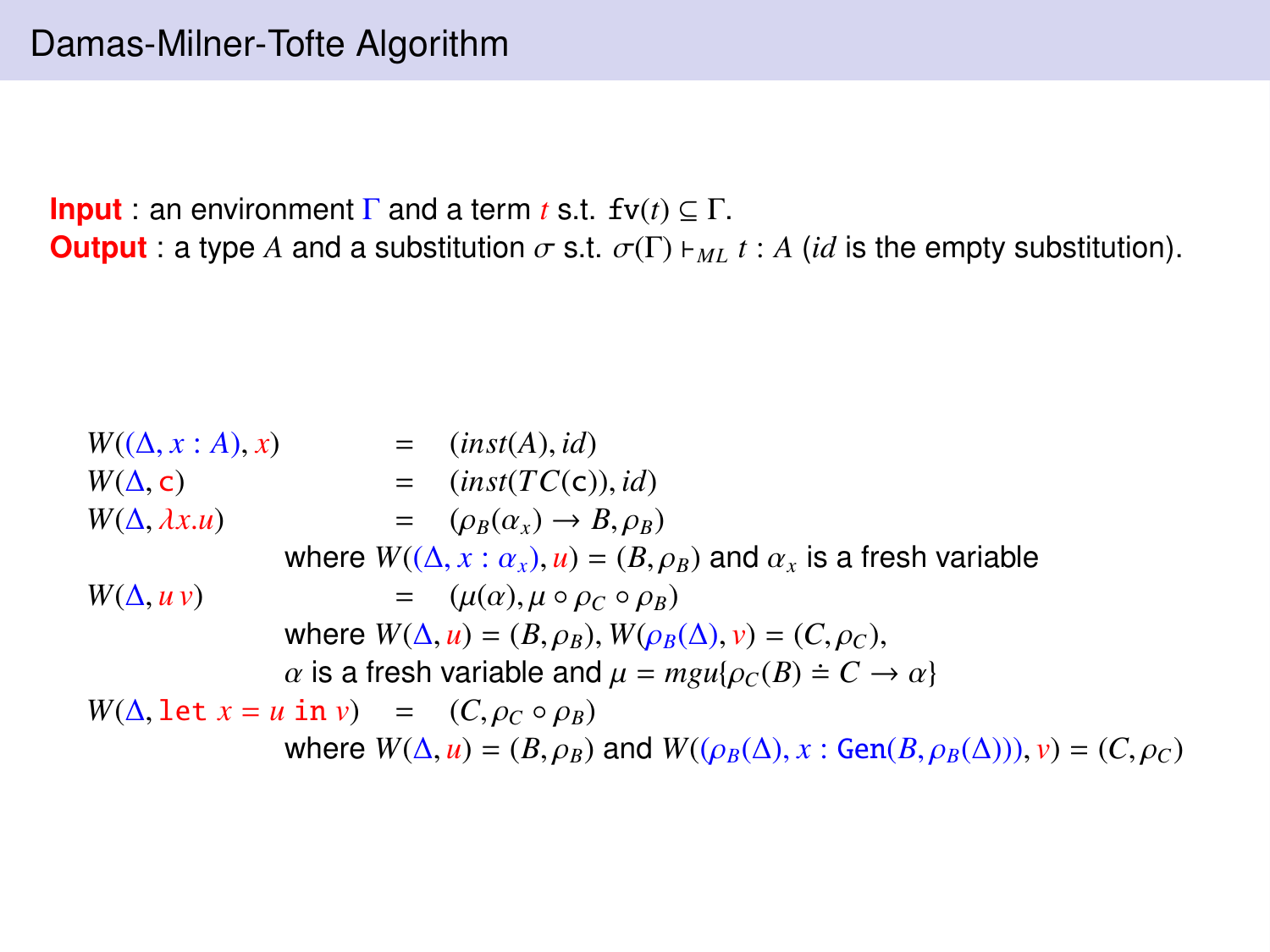**Input** : an environment  $\Gamma$  and a term *t* s.t.  $f v(t) \subseteq \Gamma$ . **Output** : a type *A* and a substitution  $\sigma$  s.t.  $\sigma(\Gamma)$   $\vdash_{ML} t$  : *A* (*id* is the empty substitution).

 $W((\Delta, x : A), x)$  = (*inst*(*A*), *id*)  $W(\Delta, c)$  = (*inst*(*TC*(c)), *id*)<br>  $W(\Delta, \lambda x. u)$  = ( $\rho_B(\alpha_x) \rightarrow B, \rho_B$ )  $= (\rho_B(\alpha_x) \rightarrow B, \rho_B)$ where  $W((\Delta, x : \alpha_x), u) = (B, \rho_B)$  and  $\alpha_x$  is a fresh variable  $W(\Delta, u \nu)$  =  $(\mu(\alpha), \mu \circ \rho_C \circ \rho_B)$ <br>where  $W(\Delta, u) = (R \circ \rho) W(\rho_B)$ where  $W(\Delta, u) = (B, \rho_B)$ ,  $W(\rho_B(\Delta), v) = (C, \rho_C)$ ,<br> $\alpha$  is a fresh variable and  $\mu = m \mu(\rho_C(R) \doteq C$  $\alpha$  is a fresh variable and  $\mu = mgu{\rho_C(B)} \doteq C \rightarrow \alpha$  $W(\Delta, \text{let } x = u \text{ in } v) = (C, \rho_C \circ \rho_B)$ where  $W(\Delta, u) = (B, \rho_B)$  and  $W((\rho_B(\Delta), x : \text{Gen}(B, \rho_B(\Delta))), v) = (C, \rho_C)$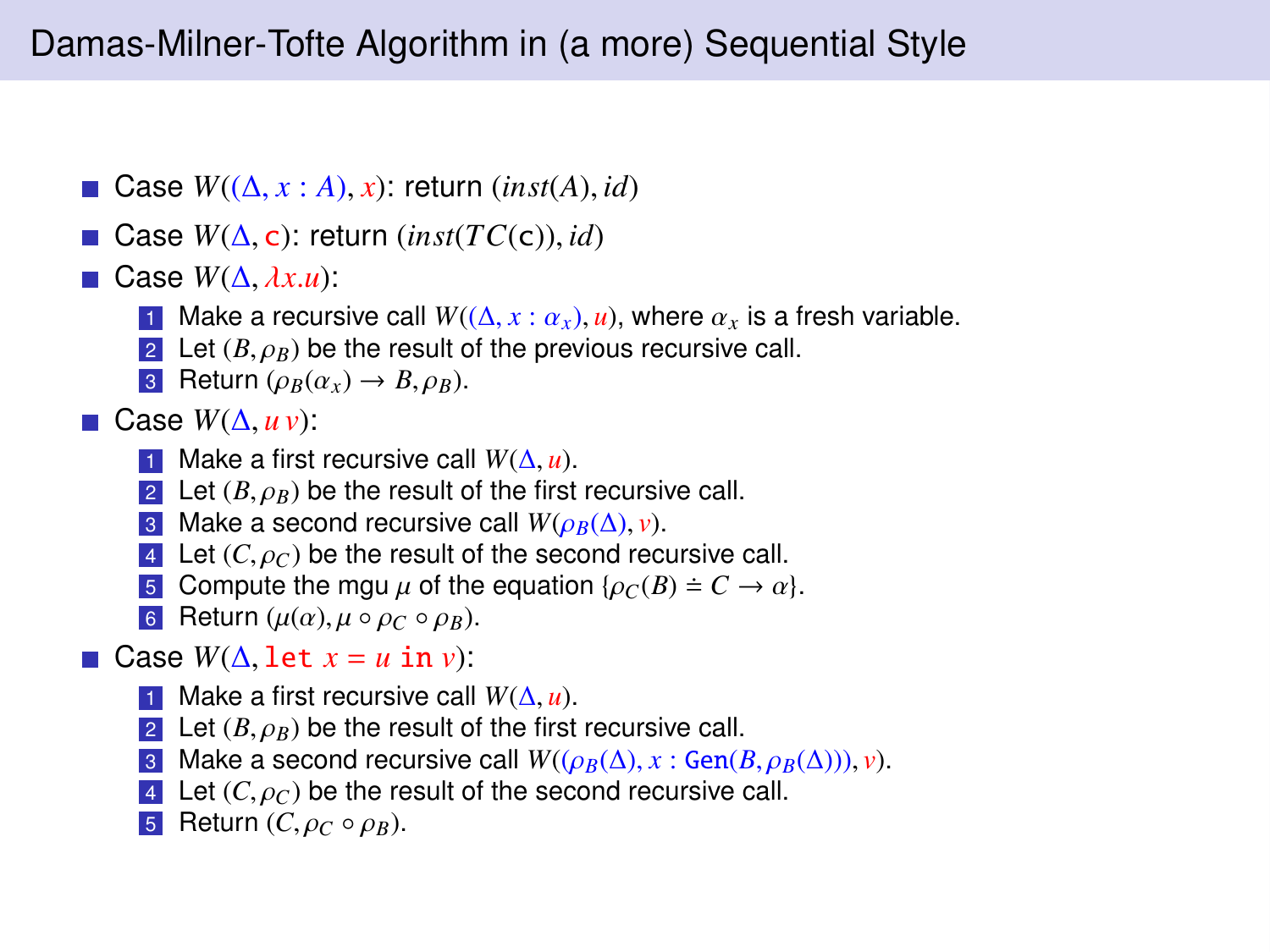- Case *<sup>W</sup>*((∆, *<sup>x</sup>* : *<sup>A</sup>*), *<sup>x</sup>*): return (*inst*(*A*), *id*)
- Case *<sup>W</sup>*(∆, <sup>c</sup>): return (*inst*(*TC*(c)), *id*)
- Case *<sup>W</sup>*(∆, λ*x*.*u*):
	- 1 Make a recursive call  $W((\Delta, x : \alpha_x), u)$ , where  $\alpha_x$  is a fresh variable.
	- 2 Let  $(B, \rho_B)$  be the result of the previous recursive call.
	- **3** Return ( $\rho_B(\alpha_x) \rightarrow B$ ,  $\rho_B$ ).
- 
- **Case**  $W(\Delta, u \nu)$ **:**<br>  **Make a first recursive call**  $W(\Delta, u)$ **.** 1 Make a first recursive call  $W(\Delta, u)$ .<br>2 Let  $(B, \alpha_n)$  be the result of the first
	- 2 Let  $(B,\rho_B)$  be the result of the first recursive call.<br>3 Make a second recursive call  $W(\rho_B(\Lambda), \nu)$ .
	- 3 Make a second recursive call  $W(\rho_B(\Delta), v)$ .
	- 4 Let  $(C, \rho_C)$  be the result of the second recursive call.
	- **5** Compute the mgu  $\mu$  of the equation  $\{\rho_C(B) = C \rightarrow \alpha\}$ .
	- 6 Return  $(\mu(\alpha), \mu \circ \rho_C \circ \rho_B)$ .
- **□ Case**  $W(\Delta, \text{let } x = u \text{ in } v)$ **:**<br>
 Make a first recursive call  $W(\Delta, u)$ .
	- 1 Make a first recursive call  $W(\Delta, u)$ .<br>2 Let  $(B, \alpha_n)$  be the result of the first
	- 2 Let  $(B, \rho_B)$  be the result of the first recursive call.<br>3 Make a second recursive call  $W((\rho_B(A), r, \mathcal{G}_{\mathbf{P}}))$
	- 3 Make a second recursive call  $W((\rho_B(\Delta), x : \text{Gen}(B, \rho_B(\Delta))), v)$ .
	- 4 Let  $(C, \rho_C)$  be the result of the second recursive call.
	- 5 Return  $(C, \rho_C \circ \rho_B)$ .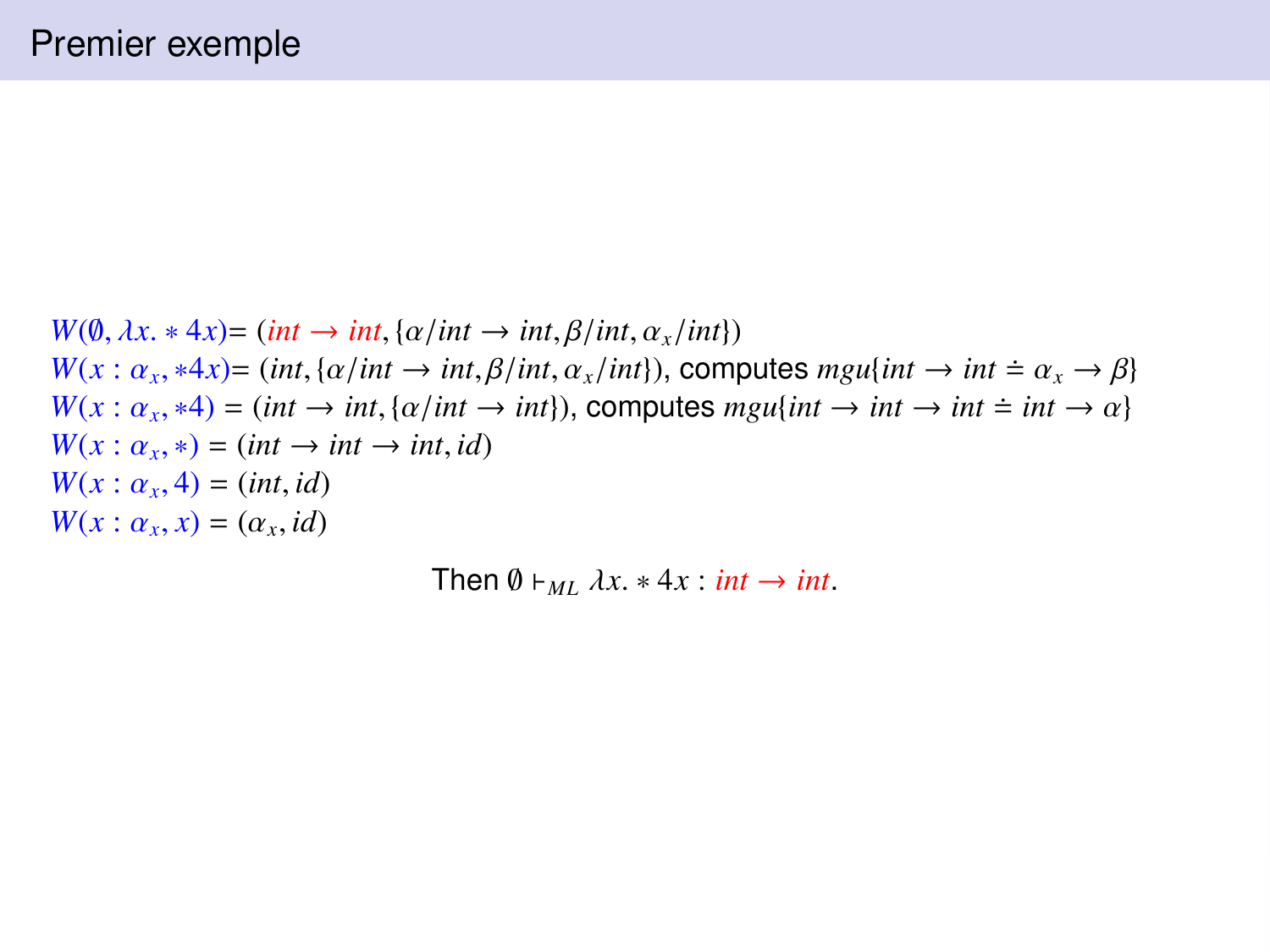$W(\emptyset, \lambda x. * 4x) = (int \rightarrow int, {\alpha/int} \rightarrow int, {\beta/int, \alpha_x/int})$  $W(x: \alpha_x, *4x) = (int, {\alpha/int \rightarrow int, \beta/int, \alpha_x/int})$ , computes  $mgu\{int \rightarrow int \doteq \alpha_x \rightarrow \beta\}$ <br> $W(x: \alpha_x, *4) = (int \rightarrow int, {\alpha/int \rightarrow int})$ , computes  $mou\{int \rightarrow int \doteq \phi \}$  $W(x: \alpha_x, *4) = (int \rightarrow int, {\alpha/int} \rightarrow int}),$  computes  $mgu(int \rightarrow int \rightarrow int \pm int \rightarrow \alpha)$ <br> $W(x: \alpha_* ) = (int \rightarrow int \rightarrow int \ d)$  $W(x: \alpha_x, *) = (int \rightarrow int \rightarrow int, id)$ <br>  $W(x: \alpha, 4) = (int id)$  $W(x: \alpha_x, 4) = (int, id)$ <br> $W(x: \alpha_x, x) = (\alpha_x, id)$  $W(x: \alpha_x, x) = (\alpha_x, id)$ 

Then  $\emptyset \vdash_M \lambda x.* 4x : int \rightarrow int$ .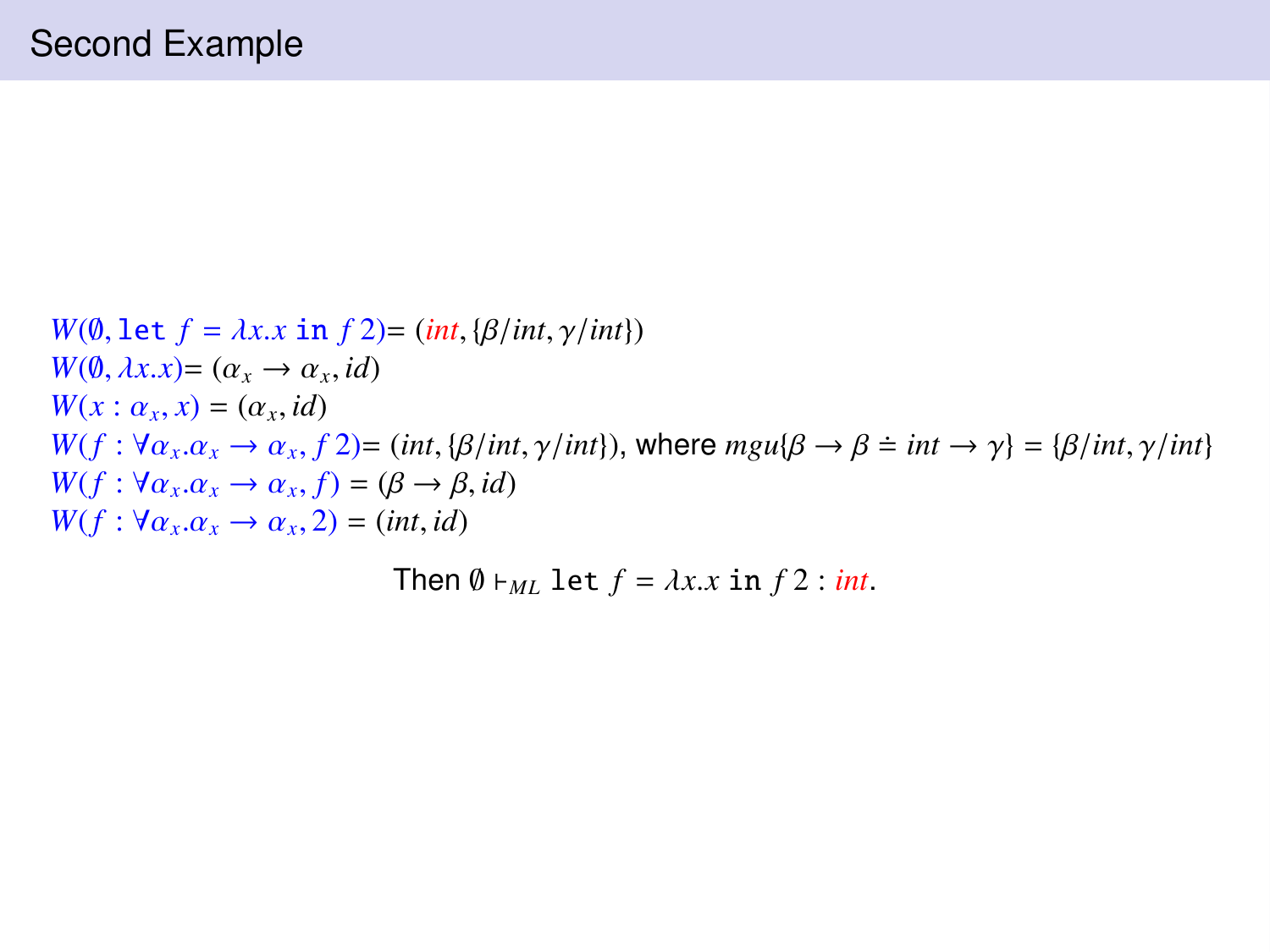$W(\emptyset, \text{let } f = \lambda x.x \text{ in } f2) = (int, {\beta} / int, \gamma / int)$  $W(\emptyset, \lambda x.x) = (\alpha_x \rightarrow \alpha_x, id)$ <br>  $W(x : \alpha \mid x) = (\alpha \mid id)$  $W(x: \alpha_x, x) = (\alpha_x, id)$ <br> $W(f: \forall \alpha, \alpha \rightarrow \alpha, f$  $W(f : \forall \alpha_x, \alpha_x \rightarrow \alpha_x, f^2) = (int, {\beta} / int, \gamma / int)$ , where  $mgu{\beta} \rightarrow \beta \doteq int \rightarrow \gamma$ } = { $\beta / int, \gamma / int$ }<br> $W(f : \forall \alpha, \alpha \rightarrow \alpha, f^2) = (\beta \rightarrow \beta, id)$  $W(f: \forall \alpha_x. \alpha_x \rightarrow \alpha_x, f) = (\beta \rightarrow \beta, id)$ <br>  $W(f: \forall \alpha, \alpha \rightarrow \alpha, 2) = (int id)$  $W(f: \forall \alpha_x \ldotp \alpha_x \rightarrow \alpha_x, 2) = (int, id)$ 

Then  $\emptyset \vdash_{ML} \text{let } f = \lambda x.x \text{ in } f \cdot 2 : int.$